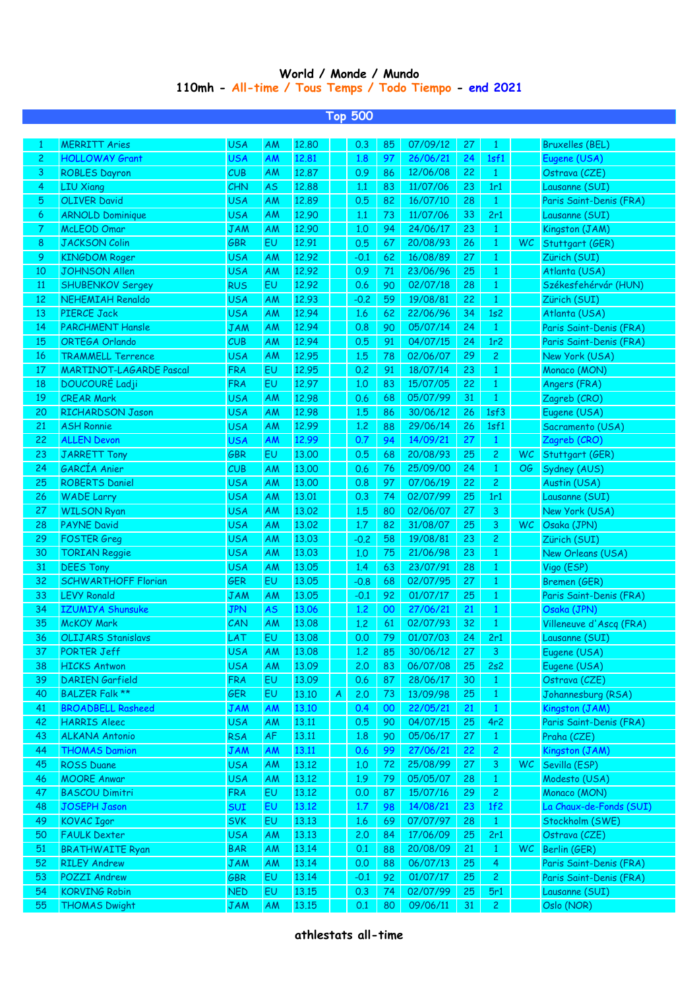## **World / Monde / Mundo 110mh - All-time / Tous Temps / Todo Tiempo - end 2021**

|                 | Тор 500                        |            |           |       |   |        |    |          |    |                |           |                         |  |
|-----------------|--------------------------------|------------|-----------|-------|---|--------|----|----------|----|----------------|-----------|-------------------------|--|
|                 |                                |            |           |       |   |        |    |          |    |                |           |                         |  |
| 1               | <b>MERRITT Aries</b>           | <b>USA</b> | <b>AM</b> | 12,80 |   | 0.3    | 85 | 07/09/12 | 27 | 1              |           | <b>Bruxelles (BEL)</b>  |  |
| $\overline{c}$  | <b>HOLLOWAY Grant</b>          | <b>USA</b> | AM        | 12,81 |   | 1.8    | 97 | 26/06/21 | 24 | 1sf1           |           | Eugene (USA)            |  |
| 3               | <b>ROBLES Dayron</b>           | CUB        | AM        | 12.87 |   | 0.9    | 86 | 12/06/08 | 22 | $\mathbf{1}$   |           | Ostrava (CZE)           |  |
| 4               | <b>LIU Xiang</b>               | CHN        | <b>AS</b> | 12.88 |   | 1.1    | 83 | 11/07/06 | 23 | 1r1            |           | Lausanne (SUI)          |  |
| 5               | <b>OLIVER David</b>            | <b>USA</b> | AM        | 12.89 |   | 0.5    | 82 | 16/07/10 | 28 | $\mathbf{1}$   |           | Paris Saint-Denis (FRA) |  |
| 6               | <b>ARNOLD Dominique</b>        | <b>USA</b> | AM        | 12.90 |   | 1.1    | 73 | 11/07/06 | 33 | 2r1            |           | Lausanne (SUI)          |  |
| 7               | <b>McLEOD Omar</b>             | <b>JAM</b> | AM        | 12.90 |   | 1,0    | 94 | 24/06/17 | 23 | $\mathbf{1}$   |           | Kingston (JAM)          |  |
| 8               | <b>JACKSON Colin</b>           | GBR        | EU        | 12.91 |   | 0.5    | 67 | 20/08/93 | 26 | $\mathbf{1}$   |           | WC Stuttgart (GER)      |  |
| 9               | <b>KINGDOM Roger</b>           | <b>USA</b> | AM        | 12.92 |   | $-0.1$ | 62 | 16/08/89 | 27 | $\mathbf{1}$   |           | Zürich (SUI)            |  |
| 10              | <b>JOHNSON Allen</b>           | <b>USA</b> | AM        | 12.92 |   | 0.9    | 71 | 23/06/96 | 25 | $\mathbf{1}$   |           | Atlanta (USA)           |  |
| 11              | <b>SHUBENKOV Sergey</b>        | <b>RUS</b> | EU        | 12.92 |   | 0.6    | 90 | 02/07/18 | 28 | $\overline{1}$ |           | Székesfehérvár (HUN)    |  |
| 12              | NEHEMIAH Renaldo               | <b>USA</b> | AM        | 12.93 |   | $-0.2$ | 59 | 19/08/81 | 22 | $\mathbf{1}$   |           | Zürich (SUI)            |  |
| 13              | <b>PIERCE Jack</b>             | <b>USA</b> | AM        | 12.94 |   | 1.6    | 62 | 22/06/96 | 34 | 1s2            |           | Atlanta (USA)           |  |
| 14              | <b>PARCHMENT Hansle</b>        | <b>JAM</b> | AM        | 12.94 |   | 0.8    | 90 | 05/07/14 | 24 | $\mathbf{1}$   |           | Paris Saint-Denis (FRA) |  |
| 15              | ORTEGA Orlando                 | CUB        | AM        | 12.94 |   | 0.5    | 91 | 04/07/15 | 24 | 1r2            |           | Paris Saint-Denis (FRA) |  |
| 16              | <b>TRAMMELL Terrence</b>       | <b>USA</b> | AM        | 12.95 |   | 1.5    | 78 | 02/06/07 | 29 | $\overline{c}$ |           | New York (USA)          |  |
| 17              | <b>MARTINOT-LAGARDE Pascal</b> | <b>FRA</b> | EU        | 12.95 |   | 0.2    | 91 | 18/07/14 | 23 | $\mathbf{1}$   |           | Monaco (MON)            |  |
| 18              | DOUCOURÉ Ladji                 | <b>FRA</b> | EU        | 12.97 |   | 1,0    | 83 | 15/07/05 | 22 | $\mathbf{1}$   |           | Angers (FRA)            |  |
| 19              | <b>CREAR Mark</b>              | <b>USA</b> | AM        | 12.98 |   | 0.6    | 68 | 05/07/99 | 31 | $\mathbf{1}$   |           | Zagreb (CRO)            |  |
| 20              | <b>RICHARDSON Jason</b>        | <b>USA</b> | AM        | 12.98 |   | 1.5    | 86 | 30/06/12 | 26 | 1sf3           |           | Eugene (USA)            |  |
| 21              | <b>ASH Ronnie</b>              | <b>USA</b> | AM        | 12.99 |   | 1.2    | 88 | 29/06/14 | 26 | 1sf1           |           | Sacramento (USA)        |  |
| 22              | <b>ALLEN Devon</b>             | <b>USA</b> | AM        | 12.99 |   | 0.7    | 94 | 14/09/21 | 27 | $\mathbf{1}$   |           | Zagreb (CRO)            |  |
| 23              | <b>JARRETT Tony</b>            | <b>GBR</b> | EU        | 13.00 |   | 0.5    | 68 | 20/08/93 | 25 | $\overline{c}$ | WC        | Stuttgart (GER)         |  |
| 24              | GARCÍA Anier                   | CUB        | AM        | 13.00 |   | 0.6    | 76 | 25/09/00 | 24 | $\mathbf{1}$   | <b>OG</b> | Sydney (AUS)            |  |
| 25              | <b>ROBERTS Daniel</b>          | <b>USA</b> | AM        | 13.00 |   | 0.8    | 97 | 07/06/19 | 22 | $\overline{c}$ |           | Austin (USA)            |  |
| 26              | <b>WADE Larry</b>              | <b>USA</b> | AM        | 13.01 |   | 0.3    | 74 | 02/07/99 | 25 | 1r1            |           | Lausanne (SUI)          |  |
| 27              | <b>WILSON Ryan</b>             | <b>USA</b> | AM        | 13.02 |   | 1.5    | 80 | 02/06/07 | 27 | 3              |           | New York (USA)          |  |
| 28              | <b>PAYNE David</b>             | <b>USA</b> | AM        | 13.02 |   | 1.7    | 82 | 31/08/07 | 25 | $\overline{3}$ | <b>WC</b> | Osaka (JPN)             |  |
| 29              | <b>FOSTER Greg</b>             | <b>USA</b> | AM        | 13.03 |   | $-0.2$ | 58 | 19/08/81 | 23 | $\overline{c}$ |           | Zürich (SUI)            |  |
| 30              | <b>TORIAN Reggie</b>           | <b>USA</b> | AM        | 13.03 |   | 1,0    | 75 | 21/06/98 | 23 | $\mathbf{1}$   |           | New Orleans (USA)       |  |
| 31              | <b>DEES Tony</b>               | <b>USA</b> | AM        | 13.05 |   | 1.4    | 63 | 23/07/91 | 28 | $\mathbf{1}$   |           | Vigo (ESP)              |  |
| 32              | <b>SCHWARTHOFF Florian</b>     | GER        | EU        | 13.05 |   | $-0.8$ | 68 | 02/07/95 | 27 | $\mathbf{1}$   |           | Bremen (GER)            |  |
| 33              | <b>LEVY Ronald</b>             | <b>JAM</b> | AM        | 13.05 |   | $-0.1$ | 92 | 01/07/17 | 25 | $\mathbf{1}$   |           | Paris Saint-Denis (FRA) |  |
| 34              | <b>IZUMIYA Shunsuke</b>        | <b>JPN</b> | <b>AS</b> | 13.06 |   | 1.2    | 00 | 27/06/21 | 21 | $\mathbf{1}$   |           | Osaka (JPN)             |  |
| 35              | <b>McKOY Mark</b>              | CAN        | AM        | 13.08 |   | 1.2    | 61 | 02/07/93 | 32 | $\mathbf{1}$   |           | Villeneuve d'Ascq (FRA) |  |
| 36 <sup>2</sup> | OLIJARS Stanislavs             | <b>LAT</b> | EU        | 13.08 |   | 0.0    | 79 | 01/07/03 | 24 | 2r1            |           | Lausanne (SUI)          |  |
| 37              | PORTER Jeff                    | <b>USA</b> | <b>AM</b> | 13.08 |   | 1,2    | 85 | 30/06/12 | 27 | 3 <sup>7</sup> |           | Eugene (USA)            |  |
| 38              | <b>HICKS Antwon</b>            | <b>USA</b> | AM        | 13.09 |   | 2.0    | 83 | 06/07/08 | 25 | 2s2            |           | Eugene (USA)            |  |
| 39              | <b>DARIEN</b> Garfield         | <b>FRA</b> | EU        | 13.09 |   | 0.6    | 87 | 28/06/17 | 30 | $\mathbf{1}$   |           | Ostrava (CZE)           |  |
| 40              | <b>BALZER Falk **</b>          | <b>GER</b> | EU        | 13.10 | A | 2.0    | 73 | 13/09/98 | 25 | $\mathbf{1}$   |           | Johannesburg (RSA)      |  |
| 41              | <b>BROADBELL Rasheed</b>       | <b>JAM</b> | AM        | 13.10 |   | 0.4    | 00 | 22/05/21 | 21 | $\mathbf{1}$   |           | Kingston (JAM)          |  |
| 42              | <b>HARRIS Aleec</b>            | <b>USA</b> | AM        | 13.11 |   | 0.5    | 90 | 04/07/15 | 25 | 4r2            |           | Paris Saint-Denis (FRA) |  |
| 43              | <b>ALKANA Antonio</b>          | <b>RSA</b> | AF        | 13.11 |   | 1.8    | 90 | 05/06/17 | 27 | $\mathbf{1}$   |           | Praha (CZE)             |  |
| 44              | <b>THOMAS Damion</b>           | <b>JAM</b> | AM        | 13.11 |   | 0.6    | 99 | 27/06/21 | 22 | $\overline{c}$ |           | Kingston (JAM)          |  |
| 45              | <b>ROSS Duane</b>              | <b>USA</b> | AM        | 13.12 |   | 1,0    | 72 | 25/08/99 | 27 | $\overline{3}$ | WC        | Sevilla (ESP)           |  |
| 46              | <b>MOORE Anwar</b>             | <b>USA</b> | AM        | 13.12 |   | 1.9    | 79 | 05/05/07 | 28 | $\mathbf{1}$   |           | Modesto (USA)           |  |
| 47              | <b>BASCOU Dimitri</b>          | <b>FRA</b> | EU        | 13.12 |   | 0.0    | 87 | 15/07/16 | 29 | $\overline{c}$ |           | Monaco (MON)            |  |
| 48              | <b>JOSEPH Jason</b>            | <b>SUI</b> | EU        | 13.12 |   | 1.7    | 98 | 14/08/21 | 23 | 1f2            |           | La Chaux-de-Fonds (SUI) |  |
| 49              | <b>KOVAC Igor</b>              | <b>SVK</b> | EU        | 13.13 |   | 1.6    | 69 | 07/07/97 | 28 | $\mathbf{1}$   |           | Stockholm (SWE)         |  |
| 50              | <b>FAULK Dexter</b>            | <b>USA</b> | AM        | 13.13 |   | 2.0    | 84 | 17/06/09 | 25 | 2r1            |           | Ostrava (CZE)           |  |
| 51              | <b>BRATHWAITE Ryan</b>         | <b>BAR</b> | AM        | 13.14 |   | 0.1    | 88 | 20/08/09 | 21 | $\mathbf{1}$   | <b>WC</b> | Berlin (GER)            |  |
| 52              | <b>RILEY Andrew</b>            | <b>JAM</b> | AM        | 13.14 |   | 0.0    | 88 | 06/07/13 | 25 | $\overline{4}$ |           | Paris Saint-Denis (FRA) |  |
| 53              | <b>POZZI Andrew</b>            | <b>GBR</b> | EU        | 13.14 |   | $-0.1$ | 92 | 01/07/17 | 25 | $\overline{c}$ |           | Paris Saint-Denis (FRA) |  |
| 54              | <b>KORVING Robin</b>           | <b>NED</b> | EU        | 13.15 |   | 0.3    | 74 | 02/07/99 | 25 | 5r1            |           | Lausanne (SUI)          |  |
| 55              | <b>THOMAS Dwight</b>           | <b>JAM</b> | AM        | 13.15 |   | 0.1    | 80 | 09/06/11 | 31 | $\overline{2}$ |           | Oslo (NOR)              |  |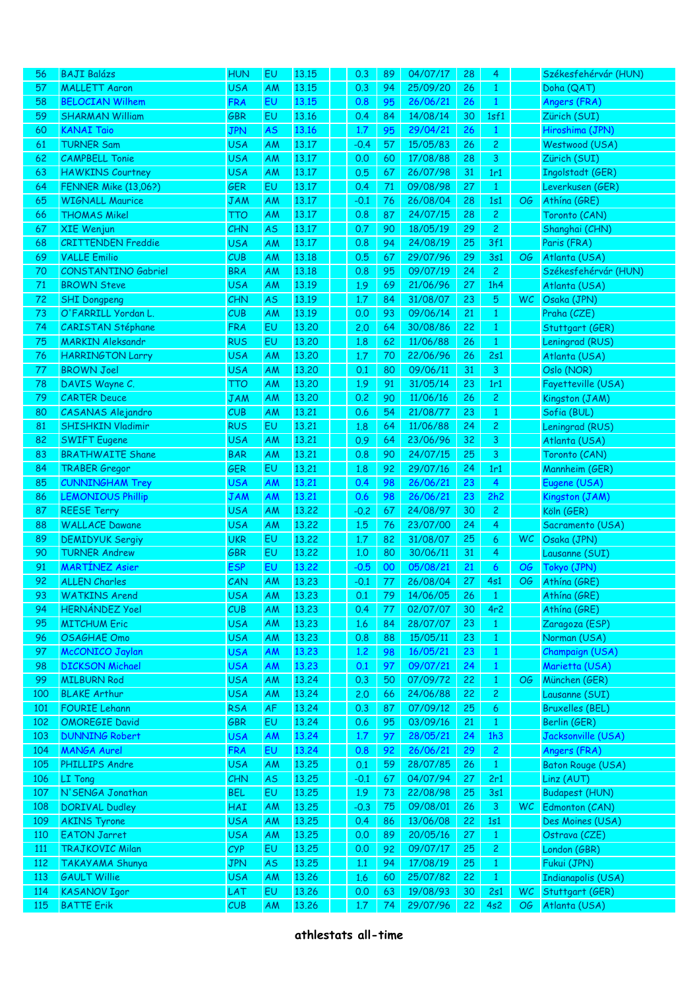| 56         | <b>BAJI Balázs</b>                           | <b>HUN</b>               | EU                     | 13.15          | 0.3           | 89       | 04/07/17             | 28       | 4               |           | Székesfehérvár (HUN)               |
|------------|----------------------------------------------|--------------------------|------------------------|----------------|---------------|----------|----------------------|----------|-----------------|-----------|------------------------------------|
| 57         | <b>MALLETT Aaron</b>                         | <b>USA</b>               | AM                     | 13.15          | 0.3           | 94       | 25/09/20             | 26       | 1               |           | Doha (QAT)                         |
| 58         | <b>BELOCIAN Wilhem</b>                       | <b>FRA</b>               | EU                     | 13.15          | 0.8           | 95       | 26/06/21             | 26       | $\mathbf{1}$    |           | Angers (FRA)                       |
| 59         | <b>SHARMAN William</b>                       | <b>GBR</b>               | EU                     | 13.16          | 0.4           | 84       | 14/08/14             | 30       | 1sf1            |           | Zürich (SUI)                       |
| 60         | <b>KANAI Taio</b>                            | <b>JPN</b>               | <b>AS</b>              | 13.16          | 1.7           | 95       | 29/04/21             | 26       | $\mathbf{1}$    |           | Hiroshima (JPN)                    |
| 61         | <b>TURNER Sam</b>                            | USA                      | AM                     | 13.17          | $-0.4$        | 57       | 15/05/83             | 26       | $\mathbf{2}$    |           | Westwood (USA)                     |
| 62         | <b>CAMPBELL Tonie</b>                        | <b>USA</b>               | AM                     | 13.17          | 0.0           | 60       | 17/08/88             | 28       | 3               |           | Zürich (SUI)                       |
| 63         | <b>HAWKINS Courtney</b>                      | <b>USA</b>               | AM                     | 13.17          | 0.5           | 67       | 26/07/98             | 31       | 1r1             |           | Ingolstadt (GER)                   |
| 64         | <b>FENNER Mike (13,06?)</b>                  | <b>GER</b>               | EU                     | 13.17          | 0.4           | 71       | 09/08/98             | 27       | $\mathbf{1}$    |           | Leverkusen (GER)                   |
| 65         | <b>WIGNALL Maurice</b>                       | <b>JAM</b>               | AM                     | 13.17          | $-0.1$        | 76       | 26/08/04             | 28       | 1s1             | OG        | Athina (GRE)                       |
| 66         | <b>THOMAS Mikel</b>                          | тто                      | ΑM                     | 13.17          | 0.8           | 87       | 24/07/15             | 28       | $\overline{c}$  |           | Toronto (CAN)                      |
| 67         | <b>XIE Wenjun</b>                            | <b>CHN</b>               | <b>AS</b>              | 13.17          | 0.7           | 90       | 18/05/19             | 29       | $\overline{c}$  |           | Shanghai (CHN)                     |
| 68         | <b>CRITTENDEN Freddie</b>                    | <b>USA</b>               | AM                     | 13.17          | 0.8           | 94       | 24/08/19             | 25       | 3f1             |           | Paris (FRA)                        |
| 69         | <b>VALLE Emilio</b>                          | CUB                      | AM                     | 13.18          | 0.5           | 67       | 29/07/96             | 29       | 3s1             | OG        | Atlanta (USA)                      |
| 70         | <b>CONSTANTINO Gabriel</b>                   | <b>BRA</b>               | AM                     | 13.18          | 0.8           | 95       | 09/07/19             | 24       | $\mathbf{2}$    |           | Székesfehérvár (HUN)               |
| 71         | <b>BROWN Steve</b>                           | <b>USA</b>               | AM                     | 13.19          | 1.9           | 69       | 21/06/96             | 27       | 1h4             |           | Atlanta (USA)                      |
| 72         | <b>SHI Dongpeng</b>                          | <b>CHN</b>               | <b>AS</b>              | 13.19          | 1,7           | 84       | 31/08/07             | 23       | 5               | WC.       | Osaka (JPN)                        |
| 73         | O'FARRILL Yordan L.                          | CUB                      | AM                     | 13.19          | 0.0           | 93       | 09/06/14             | 21       | $\mathbf{1}$    |           | Praha (CZE)                        |
| 74         | <b>CARISTAN Stéphane</b>                     | <b>FRA</b>               | EU                     | 13,20          | 2,0           | 64       | 30/08/86             | 22       | $\mathbf{1}$    |           | Stuttgart (GER)                    |
| 75         | <b>MARKIN Aleksandr</b>                      | <b>RUS</b>               | EU                     | 13,20          | 1.8           | 62       | 11/06/88             | 26       | 1               |           | Leningrad (RUS)                    |
| 76         | <b>HARRINGTON Larry</b>                      | <b>USA</b>               | AM                     | 13,20          | 1.7           | 70       | 22/06/96             | 26       | 2s1             |           | Atlanta (USA)                      |
| 77         | <b>BROWN Joel</b>                            | <b>USA</b>               | AM                     | 13,20          | 0.1           | 80       | 09/06/11             | 31       | 3               |           | Oslo (NOR)                         |
| 78         | DAVIS Wayne C.                               | TTO                      | AM                     | 13,20          | 1.9           | 91       | 31/05/14             | 23       | 1r1             |           | Fayetteville (USA)                 |
| 79         | <b>CARTER Deuce</b>                          | <b>JAM</b>               | AM                     | 13,20          | 0.2           | 90       | 11/06/16             | 26       | $\overline{c}$  |           | Kingston (JAM)                     |
| 80         | CASANAS Alejandro                            | CUB                      | AM                     | 13.21          | 0.6           | 54       | 21/08/77             | 23       | $\mathbf{1}$    |           | Sofia (BUL)                        |
| 81         | <b>SHISHKIN Vladimir</b>                     | <b>RUS</b>               | EU                     | 13.21          | 1.8           | 64       | 11/06/88             | 24       | $\overline{c}$  |           | Leningrad (RUS)                    |
| 82         | <b>SWIFT Eugene</b>                          | <b>USA</b>               | AM                     | 13.21          | 0.9           | 64       | 23/06/96             | 32       | 3               |           | Atlanta (USA)                      |
| 83         | <b>BRATHWAITE Shane</b>                      | <b>BAR</b>               | AM                     | 13.21          | 0.8           | 90       | 24/07/15             | 25       | 3               |           | Toronto (CAN)                      |
| 84         | <b>TRABER Gregor</b>                         | <b>GER</b>               | EU                     | 13.21          | 1.8           | 92       | 29/07/16             | 24       | 1r1             |           | Mannheim (GER)                     |
| 85         | <b>CUNNINGHAM Trey</b>                       | <b>USA</b>               | AM                     | 13,21          | 0.4           | 98       | 26/06/21             | 23       | $\overline{4}$  |           | Eugene (USA)                       |
| 86         | <b>LEMONIOUS Phillip</b>                     | JAM                      | AM                     | 13.21          | 0.6           | 98       | 26/06/21             | 23       | 2h2             |           | Kingston (JAM)                     |
| 87         | <b>REESE Terry</b>                           | <b>USA</b>               | AM                     | 13,22          | $-0.2$        | 67       | 24/08/97             | 30       | $\mathbf{2}$    |           | Köln (GER)                         |
| 88         | <b>WALLACE Dawane</b>                        | <b>USA</b>               | AM                     | 13,22          | 1.5           | 76       | 23/07/00             | 24       | 4               |           | Sacramento (USA)                   |
| 89         | <b>DEMIDYUK Sergiy</b>                       | <b>UKR</b>               | EU                     | 13,22          | 1.7           | 82       | 31/08/07             | 25       | 6               | <b>WC</b> | Osaka (JPN)                        |
| 90         | <b>TURNER Andrew</b>                         | <b>GBR</b>               | EU                     | 13,22          | 1,0           | 80       | 30/06/11             | 31       | 4               |           | Lausanne (SUI)                     |
| 91         | <b>MARTINEZ Asier</b>                        | <b>ESP</b>               | EU                     | 13.22          | $-0.5$        | 00       | 05/08/21             | 21       | 6               | <b>OG</b> | Tokyo (JPN)                        |
| 92         | <b>ALLEN Charles</b>                         | CAN                      | AM                     | 13.23          | $-0.1$        | 77       | 26/08/04             | 27       | 4s1             | ОG        | Athína (GRE)                       |
| 93         | <b>WATKINS Arend</b>                         | USA                      | AM                     | 13,23          | 0.1           | 79       | 14/06/05             | 26       | $\mathbf{1}$    |           | Athina (GRE)                       |
| 94         | <b>HERNÁNDEZ Yoel</b>                        | CUB                      | <b>AM</b>              | 13.23          | 0.4           | 77       | 02/07/07             | 30       | 4r <sub>2</sub> |           | Athína (GRE)                       |
| 95         | <b>MITCHUM Eric</b>                          | <b>USA</b>               | <b>AM</b>              | 13.23          | 1.6           | 84       | 28/07/07             | 23       | $\mathbf{1}$    |           | Zaragoza (ESP)                     |
| 96         | <b>OSAGHAE Omo</b>                           | <b>USA</b>               | <b>AM</b>              | 13.23          | 0.8           | 88       | 15/05/11             | 23       | $\mathbf{1}$    |           | Norman (USA)                       |
| 97         | McCONICO Jaylan                              | <b>USA</b>               | <b>AM</b>              | 13.23          | 1.2           | 98       | 16/05/21             | 23       | $\mathbf{1}$    |           | Champaign (USA)                    |
| 98         | <b>DICKSON Michael</b>                       | <b>USA</b>               | <b>AM</b>              | 13.23          | 0.1           | 97       | 09/07/21             | 24       | $\mathbf{1}$    |           | Marietta (USA)                     |
| 99         | <b>MILBURN Rod</b>                           | <b>USA</b>               | <b>AM</b>              | 13.24          | 0.3           | 50       | 07/09/72             | 22       | $\mathbf{1}$    | OG        | München (GER)                      |
| 100        | <b>BLAKE Arthur</b>                          | <b>USA</b>               | <b>AM</b>              | 13.24          | 2,0           | 66       | 24/06/88             | 22       | $\overline{c}$  |           | Lausanne (SUI)                     |
| 101        | <b>FOURIE Lehann</b>                         | <b>RSA</b>               | AF                     | 13.24          | 0.3           | 87       | 07/09/12             | 25       | $\epsilon$      |           | Bruxelles (BEL)                    |
| 102        | <b>OMOREGIE David</b>                        | GBR                      | EU                     | 13.24          | 0.6           | 95       | 03/09/16             | 21       | $\mathbf{1}$    |           | Berlin (GER)                       |
| 103        | <b>DUNNING Robert</b>                        | <b>USA</b>               | <b>AM</b>              | 13.24          | 1.7           | 97       | 28/05/21             | 24       | 1h3             |           | Jacksonville (USA)                 |
| 104        | <b>MANGA Aurel</b>                           | <b>FRA</b>               | EU                     | 13.24          | 0.8           | 92       | 26/06/21             | 29       | $\overline{c}$  |           | Angers (FRA)                       |
| 105        | <b>PHILLIPS Andre</b>                        | USA                      | <b>AM</b>              | 13.25          | 0.1           | 59       | 28/07/85             | 26       | $\mathbf{1}$    |           | Baton Rouge (USA)                  |
| 106<br>107 | <b>LI</b> Tong<br>N'SENGA Jonathan           | <b>CHN</b>               | <b>AS</b><br>EU        | 13.25<br>13.25 | $-0.1$        | 67       | 04/07/94<br>22/08/98 | 27<br>25 | 2r1<br>3s1      |           | Linz(AUT)                          |
| 108        |                                              | <b>BEL</b>               |                        |                | 1.9           | 73<br>75 | 09/08/01             | 26       | 3               | <b>WC</b> | <b>Budapest (HUN)</b>              |
| 109        | <b>DORIVAL Dudley</b><br><b>AKINS Tyrone</b> | <b>HAI</b><br><b>USA</b> | <b>AM</b><br><b>AM</b> | 13.25<br>13.25 | $-0.3$<br>0.4 | 86       | 13/06/08             | 22       | 1s1             |           | Edmonton (CAN)<br>Des Moines (USA) |
| 110        | <b>EATON Jarret</b>                          | <b>USA</b>               | <b>AM</b>              | 13.25          | 0.0           | 89       | 20/05/16             | 27       | $\mathbf{1}$    |           | Ostrava (CZE)                      |
| <u>111</u> | <b>TRAJKOVIC Milan</b>                       | CYP                      | EU                     | 13.25          | 0.0           | 92       | 09/07/17             | 25       | $\overline{c}$  |           | London (GBR)                       |
| 112        | TAKAYAMA Shunya                              | <b>JPN</b>               | <b>AS</b>              | 13.25          | 1.1           | 94       | 17/08/19             | 25       | $\mathbf{1}$    |           | Fukui (JPN)                        |
| 113        | <b>GAULT Willie</b>                          | <b>USA</b>               | <b>AM</b>              | 13.26          | 1.6           | 60       | 25/07/82             | 22       | $\mathbf{1}$    |           | Indianapolis (USA)                 |
| 114        | <b>KASANOV Igor</b>                          | LAT                      | EU                     | 13.26          | 0.0           | 63       | 19/08/93             | 30       | 2s1             | <b>WC</b> | Stuttgart (GER)                    |
| 115        | <b>BATTE Erik</b>                            | CUB                      | AM                     | 13.26          | 1.7           | 74       | 29/07/96             | 22       | 4s2             | OG        | Atlanta (USA)                      |
|            |                                              |                          |                        |                |               |          |                      |          |                 |           |                                    |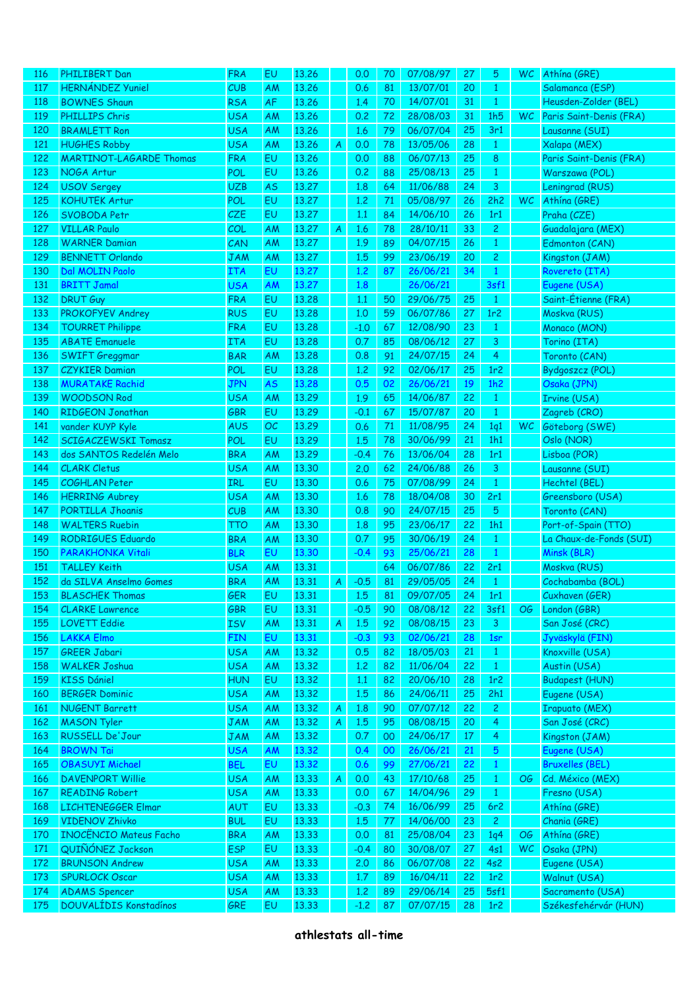| <u>116</u> | PHILIBERT Dan                  | <b>FRA</b> | EU        | 13.26 |   | 0.0    | 70 | 07/08/97 | 27 | 5               | WC.       | Athina (GRE)            |
|------------|--------------------------------|------------|-----------|-------|---|--------|----|----------|----|-----------------|-----------|-------------------------|
| 117        | <b>HERNÁNDEZ Yuniel</b>        | CUB        | AM        | 13.26 |   | 0.6    | 81 | 13/07/01 | 20 | $\mathbf{1}$    |           | Salamanca (ESP)         |
| 118        | <b>BOWNES Shaun</b>            | <b>RSA</b> | AF        | 13.26 |   | 1.4    | 70 | 14/07/01 | 31 | $\mathbf{1}$    |           | Heusden-Zolder (BEL)    |
|            |                                |            |           |       |   |        |    |          |    |                 |           |                         |
| 119        | <b>PHILLIPS Chris</b>          | <b>USA</b> | AM        | 13.26 |   | 0.2    | 72 | 28/08/03 | 31 | 1h5             | <b>WC</b> | Paris Saint-Denis (FRA) |
| 120        | <b>BRAMLETT Ron</b>            | <b>USA</b> | AM        | 13.26 |   | 1.6    | 79 | 06/07/04 | 25 | 3r1             |           | Lausanne (SUI)          |
| 121        | <b>HUGHES Robby</b>            | <b>USA</b> | AM        | 13.26 | A | 0.0    | 78 | 13/05/06 | 28 | $\mathbf{1}$    |           | Xalapa (MEX)            |
| 122        | <b>MARTINOT-LAGARDE Thomas</b> | <b>FRA</b> | EU        | 13.26 |   | 0.0    | 88 | 06/07/13 | 25 | 8               |           | Paris Saint-Denis (FRA) |
| 123        | NOGA Artur                     | POL        | EU        | 13.26 |   | 0.2    | 88 | 25/08/13 | 25 | $\mathbf{1}$    |           | Warszawa (POL)          |
| 124        | <b>USOV Sergey</b>             | <b>UZB</b> | AS        | 13.27 |   | 1.8    | 64 | 11/06/88 | 24 | 3               |           | Leningrad (RUS)         |
| 125        | <b>KOHUTEK Artur</b>           | POL        | EU        | 13.27 |   | 1,2    | 71 | 05/08/97 | 26 | 2h2             | <b>WC</b> | Athína (GRE)            |
| 126        | SVOBODA Petr                   | CZE        | EU        | 13.27 |   | 1.1    | 84 | 14/06/10 | 26 | 1r1             |           | Praha (CZE)             |
| 127        | <b>VILLAR Paulo</b>            | COL        | AM        | 13.27 | A | 1.6    | 78 | 28/10/11 | 33 | $\overline{c}$  |           | Guadalajara (MEX)       |
| 128        | <b>WARNER Damian</b>           | CAN        | AM        | 13.27 |   | 1.9    | 89 | 04/07/15 | 26 | $\mathbf{1}$    |           | Edmonton (CAN)          |
| 129        | <b>BENNETT Orlando</b>         | JAM        | AM        | 13.27 |   | 1.5    | 99 | 23/06/19 | 20 | $\overline{c}$  |           | Kingston (JAM)          |
| 130        | Dal MOLIN Paolo                | <b>ITA</b> | EU        | 13.27 |   | 1,2    | 87 | 26/06/21 | 34 | $\mathbf{1}$    |           | Rovereto (ITA)          |
|            |                                |            |           |       |   |        |    | 26/06/21 |    |                 |           |                         |
| 131        | <b>BRITT Jamal</b>             | <b>USA</b> | AM        | 13.27 |   | 1.8    |    |          |    | 3sf1            |           | Eugene (USA)            |
| 132        | <b>DRUT Guy</b>                | <b>FRA</b> | EU        | 13.28 |   | 1.1    | 50 | 29/06/75 | 25 | $\mathbf{1}$    |           | Saint-Étienne (FRA)     |
| 133        | PROKOFYEV Andrey               | <b>RUS</b> | EU        | 13.28 |   | 1,0    | 59 | 06/07/86 | 27 | 1r2             |           | Moskva (RUS)            |
| 134        | <b>TOURRET Philippe</b>        | <b>FRA</b> | EU        | 13.28 |   | $-1.0$ | 67 | 12/08/90 | 23 | $\mathbf{1}$    |           | Monaco (MON)            |
| 135        | <b>ABATE Emanuele</b>          | <b>ITA</b> | EU        | 13,28 |   | 0.7    | 85 | 08/06/12 | 27 | 3               |           | Torino (ITA)            |
| 136        | <b>SWIFT Greggmar</b>          | <b>BAR</b> | AM        | 13,28 |   | 0.8    | 91 | 24/07/15 | 24 | 4               |           | Toronto (CAN)           |
| 137        | <b>CZYKIER Damian</b>          | POL        | EU        | 13,28 |   | 1,2    | 92 | 02/06/17 | 25 | 1r2             |           | Bydgoszcz (POL)         |
| 138        | <b>MURATAKE Rachid</b>         | <b>JPN</b> | <b>AS</b> | 13.28 |   | 0.5    | 02 | 26/06/21 | 19 | 1h2             |           | Osaka (JPN)             |
| 139        | <b>WOODSON Rod</b>             | <b>USA</b> | AM        | 13.29 |   | 1.9    | 65 | 14/06/87 | 22 | $\mathbf{1}$    |           | Irvine (USA)            |
| 140        | RIDGEON Jonathan               | <b>GBR</b> | EU        | 13.29 |   | $-0.1$ | 67 | 15/07/87 | 20 | $\mathbf{1}$    |           | Zagreb (CRO)            |
| 141        | vander KUYP Kyle               | <b>AUS</b> | OC        | 13.29 |   | 0.6    | 71 | 11/08/95 | 24 | 1q1             | <b>WC</b> | Göteborg (SWE)          |
| 142        | SCIGACZEWSKI Tomasz            | <b>POL</b> | EU        | 13.29 |   | 1.5    | 78 | 30/06/99 | 21 | 1h1             |           | Oslo (NOR)              |
|            |                                |            |           |       |   |        |    |          |    |                 |           |                         |
| 143        | dos SANTOS Redelén Melo        | <b>BRA</b> | AM        | 13.29 |   | $-0.4$ | 76 | 13/06/04 | 28 | 1r1             |           | Lisboa (POR)            |
| 144        | <b>CLARK Cletus</b>            | <b>USA</b> | AM        | 13.30 |   | 2.0    | 62 | 24/06/88 | 26 | 3               |           | Lausanne (SUI)          |
| 145        | <b>COGHLAN Peter</b>           | IRL        | EU        | 13.30 |   | 0.6    | 75 | 07/08/99 | 24 | $\mathbf{1}$    |           | Hechtel (BEL)           |
| 146        | <b>HERRING Aubrey</b>          | <b>USA</b> | AM        | 13.30 |   | 1.6    | 78 | 18/04/08 | 30 | 2r1             |           | Greensboro (USA)        |
| 147        | PORTILLA Jhoanis               | CUB        | AM        | 13.30 |   | 0.8    | 90 | 24/07/15 | 25 | 5               |           | Toronto (CAN)           |
| 148        | <b>WALTERS Ruebin</b>          | TTO        | AM        | 13.30 |   | 1.8    | 95 | 23/06/17 | 22 | 1h1             |           | Port-of-Spain (TTO)     |
| 149        | RODRIGUES Eduardo              | <b>BRA</b> | AM        | 13.30 |   | 0.7    | 95 | 30/06/19 | 24 | $\mathbf{1}$    |           | La Chaux-de-Fonds (SUI) |
| 150        | PARAKHONKA Vitali              | <b>BLR</b> | EU        | 13.30 |   | $-0.4$ | 93 | 25/06/21 | 28 | $\mathbf{1}$    |           | Minsk (BLR)             |
| 151        | <b>TALLEY Keith</b>            | <b>USA</b> | AM        | 13.31 |   |        | 64 | 06/07/86 | 22 | 2r1             |           | Moskva (RUS)            |
| 152        | da SILVA Anselmo Gomes         | <b>BRA</b> | AM        | 13.31 | A | $-0.5$ | 81 | 29/05/05 | 24 | $\mathbf{1}$    |           | Cochabamba (BOL)        |
| 153        | <b>BLASCHEK Thomas</b>         | GER        | EU        | 13.31 |   | 1.5    | 81 | 09/07/05 | 24 | 1r1             |           | Cuxhaven (GER)          |
| 154        | <b>CLARKE Lawrence</b>         | GBR        | EU        | 13.31 |   | $-0.5$ | 90 | 08/08/12 | 22 | 3sf1            | OG        | London (GBR)            |
| 155        | <b>LOVETT Eddie</b>            | <b>ISV</b> | AM        | 13,31 | A | 1.5    | 92 | 08/08/15 | 23 | $\mathbf{3}$    |           | San José (CRC)          |
|            | <b>LAKKA Elmo</b>              |            | EU        | 13.31 |   |        |    | 02/06/21 |    |                 |           | Jyväskylä (FIN)         |
| 156        |                                | <b>FIN</b> |           |       |   | $-0.3$ | 93 |          | 28 | 1sr             |           |                         |
| 157        | <b>GREER Jabari</b>            | <b>USA</b> | AM        | 13.32 |   | 0.5    | 82 | 18/05/03 | 21 | $\mathbf{1}$    |           | Knoxville (USA)         |
| 158        | <b>WALKER Joshua</b>           | <b>USA</b> | AM        | 13.32 |   | 1,2    | 82 | 11/06/04 | 22 | $\mathbf{1}$    |           | Austin (USA)            |
| 159        | <b>KISS Dániel</b>             | <b>HUN</b> | EU        | 13.32 |   | 1.1    | 82 | 20/06/10 | 28 | 1r2             |           | <b>Budapest (HUN)</b>   |
| 160        | <b>BERGER Dominic</b>          | <b>USA</b> | AM        | 13.32 |   | 1.5    | 86 | 24/06/11 | 25 | 2h1             |           | Eugene (USA)            |
| 161        | NUGENT Barrett                 | <b>USA</b> | AM        | 13.32 | A | 1.8    | 90 | 07/07/12 | 22 | $\mathbf{2}$    |           | <b>Irapuato (MEX)</b>   |
| 162        | <b>MASON Tyler</b>             | <b>JAM</b> | AM        | 13.32 | A | 1.5    | 95 | 08/08/15 | 20 | $\overline{4}$  |           | San José (CRC)          |
| 163        | RUSSELL De'Jour                | <b>JAM</b> | AM        | 13.32 |   | 0.7    | 00 | 24/06/17 | 17 | $\overline{4}$  |           | Kingston (JAM)          |
| 164        | <b>BROWN Tai</b>               | <b>USA</b> | AM        | 13.32 |   | 0.4    | 00 | 26/06/21 | 21 | $5\phantom{.0}$ |           | Eugene (USA)            |
| 165        | <b>OBASUYI Michael</b>         | <b>BEL</b> | EU        | 13.32 |   | 0.6    | 99 | 27/06/21 | 22 | $\mathbf{1}$    |           | <b>Bruxelles (BEL)</b>  |
| 166        | <b>DAVENPORT Willie</b>        | <b>USA</b> | AM        | 13.33 | A | 0.0    | 43 | 17/10/68 | 25 | $\mathbf{1}$    | OG        | Cd. México (MEX)        |
| 167        | <b>READING Robert</b>          | <b>USA</b> | AM        | 13.33 |   | 0.0    | 67 | 14/04/96 | 29 | $\mathbf{1}$    |           | Fresno (USA)            |
| 168        | <b>LICHTENEGGER Elmar</b>      | AUT        | EU        | 13.33 |   | $-0.3$ | 74 | 16/06/99 | 25 | 6r2             |           | Athína (GRE)            |
|            |                                |            | EU        |       |   |        |    |          |    |                 |           |                         |
| 169        | <b>VIDENOV Zhivko</b>          | <b>BUL</b> |           | 13.33 |   | 1.5    | 77 | 14/06/00 | 23 | $\mathbf{2}$    |           | Chania (GRE)            |
| 170        | <b>INOCÊNCIO Mateus Facho</b>  | <b>BRA</b> | AM        | 13.33 |   | 0.0    | 81 | 25/08/04 | 23 | 1q4             | OG        | Athína (GRE)            |
| 171        | QUIÑÓNEZ Jackson               | <b>ESP</b> | EU        | 13.33 |   | $-0.4$ | 80 | 30/08/07 | 27 | 4s1             | <b>WC</b> | Osaka (JPN)             |
| 172        | <b>BRUNSON Andrew</b>          | <b>USA</b> | AM        | 13.33 |   | 2.0    | 86 | 06/07/08 | 22 | 4s2             |           | Eugene (USA)            |
| 173        | SPURLOCK Oscar                 | <b>USA</b> | AM        | 13.33 |   | 1.7    | 89 | 16/04/11 | 22 | 1r2             |           | Walnut (USA)            |
| 174        | <b>ADAMS Spencer</b>           | <b>USA</b> | AM        | 13.33 |   | 1,2    | 89 | 29/06/14 | 25 | 5sf1            |           | Sacramento (USA)        |
| 175        | <b>DOUVALÍDIS Konstadínos</b>  | GRE        | EU        | 13.33 |   | $-1.2$ | 87 | 07/07/15 | 28 | 1r <sub>2</sub> |           | Székesfehérvár (HUN)    |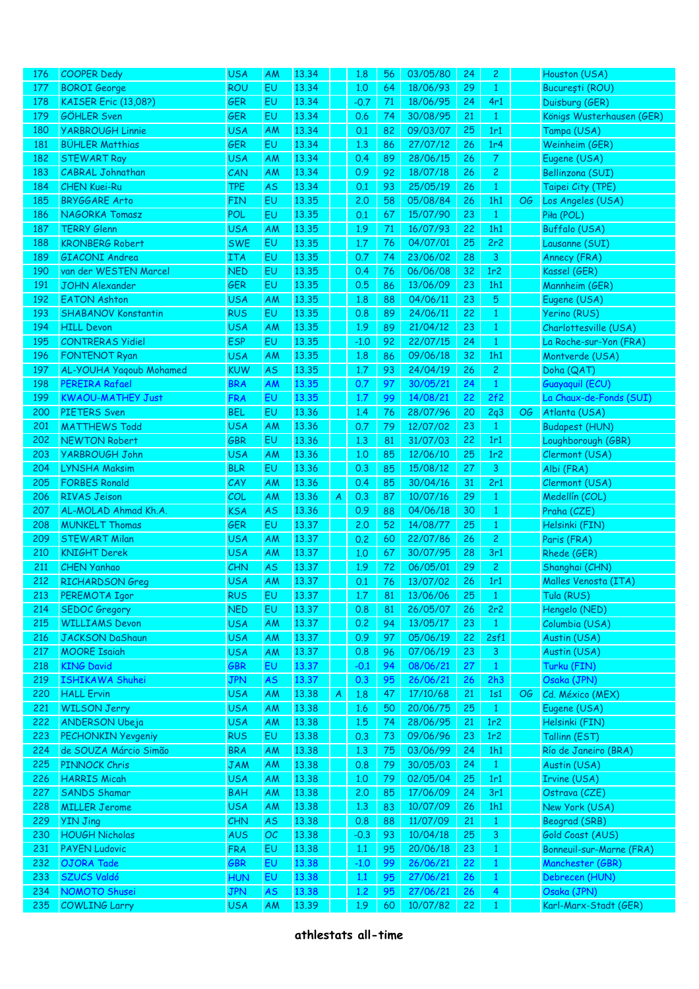| 176  | <b>COOPER Dedy</b>          | <b>USA</b> | <b>AM</b> | 13.34 |   | 1.8    | 56 | 03/05/80 | 24 | 2               |    | Houston (USA)             |
|------|-----------------------------|------------|-----------|-------|---|--------|----|----------|----|-----------------|----|---------------------------|
| 177  | <b>BOROI</b> George         | ROU        | EU        | 13.34 |   | 1,0    | 64 | 18/06/93 | 29 | $\mathbf{1}$    |    | București (ROU)           |
| 178  | <b>KAISER Eric (13,08?)</b> | <b>GER</b> | EU        | 13.34 |   | $-0.7$ | 71 | 18/06/95 | 24 | 4r1             |    | Duisburg (GER)            |
| 179  | GÖHLER Sven                 | <b>GER</b> | EU        | 13.34 |   | 0.6    | 74 | 30/08/95 | 21 | $\mathbf{1}$    |    | Königs Wusterhausen (GER) |
| 180  | <b>YARBROUGH Linnie</b>     | <b>USA</b> | AM        | 13.34 |   | 0.1    | 82 | 09/03/07 | 25 | 1r1             |    | Tampa (USA)               |
| 181  | <b>BÜHLER Matthias</b>      | <b>GER</b> | EU        | 13.34 |   | 1,3    | 86 | 27/07/12 | 26 | 1r <sub>4</sub> |    | Weinheim (GER)            |
| 182  | <b>STEWART Ray</b>          | <b>USA</b> | AM        | 13.34 |   | 0.4    | 89 | 28/06/15 | 26 | $\mathcal{T}$   |    | Eugene (USA)              |
| 183  | <b>CABRAL Johnathan</b>     | CAN        | AM        | 13.34 |   | 0.9    | 92 | 18/07/18 | 26 | $\mathbf{2}$    |    | Bellinzona (SUI)          |
| 184  | <b>CHEN Kuei-Ru</b>         | <b>TPE</b> | <b>AS</b> | 13.34 |   | 0.1    | 93 | 25/05/19 | 26 | $\mathbf{1}$    |    | Taipei City (TPE)         |
| 185  | <b>BRYGGARE Arto</b>        | <b>FIN</b> | EU        | 13.35 |   | 2.0    | 58 | 05/08/84 | 26 | 1h1             | OG | Los Angeles (USA)         |
| 186  | NAGORKA Tomasz              | POL        | EU        | 13.35 |   | 0.1    | 67 | 15/07/90 | 23 | $\mathbf{1}$    |    | Piła (POL)                |
| 187  | <b>TERRY Glenn</b>          | <b>USA</b> | AM        | 13.35 |   | 1.9    | 71 | 16/07/93 | 22 | 1h1             |    | Buffalo (USA)             |
| 188  | <b>KRONBERG Robert</b>      | <b>SWE</b> | EU        | 13.35 |   | 1.7    | 76 | 04/07/01 | 25 | 2r2             |    | Lausanne (SUI)            |
| 189  | GIACONI Andrea              | <b>ITA</b> | EU        | 13.35 |   | 0.7    | 74 | 23/06/02 | 28 | 3               |    | Annecy (FRA)              |
| 190  | van der WESTEN Marcel       | <b>NED</b> | EU        | 13.35 |   | 0.4    | 76 | 06/06/08 | 32 | 1r2             |    | Kassel (GER)              |
| 191  | <b>JOHN Alexander</b>       | <b>GER</b> | EU        | 13.35 |   | 0.5    | 86 | 13/06/09 | 23 | 1h1             |    | Mannheim (GER)            |
| 192  | <b>EATON Ashton</b>         | <b>USA</b> | AM        | 13.35 |   | 1.8    | 88 | 04/06/11 | 23 | $5\phantom{.0}$ |    | Eugene (USA)              |
| 193  | <b>SHABANOV Konstantin</b>  | <b>RUS</b> | EU        | 13.35 |   | 0.8    | 89 | 24/06/11 | 22 | $\mathbf{1}$    |    | Yerino (RUS)              |
| 194  | <b>HILL Devon</b>           | <b>USA</b> | AM        | 13.35 |   | 1.9    | 89 | 21/04/12 | 23 | $\mathbf{1}$    |    | Charlottesville (USA)     |
| 195  | <b>CONTRERAS Yidiel</b>     | <b>ESP</b> | EU        | 13.35 |   | $-1.0$ | 92 | 22/07/15 | 24 | $\mathbf{1}$    |    | La Roche-sur-Yon (FRA)    |
| 196  | <b>FONTENOT Ryan</b>        | <b>USA</b> | AM        | 13.35 |   | 1.8    | 86 | 09/06/18 | 32 | 1h1             |    |                           |
|      |                             |            |           |       |   |        |    |          |    |                 |    | Montverde (USA)           |
| 197  | AL-YOUHA Yaqoub Mohamed     | <b>KUW</b> | <b>AS</b> | 13.35 |   | 1.7    | 93 | 24/04/19 | 26 | $\mathbf{2}$    |    | Doha (QAT)                |
| 198  | <b>PEREIRA Rafael</b>       | <b>BRA</b> | AM        | 13.35 |   | 0.7    | 97 | 30/05/21 | 24 | $\mathbf{1}$    |    | Guayaquil (ECU)           |
| 199  | <b>KWAOU-MATHEY Just</b>    | <b>FRA</b> | EU        | 13.35 |   | 1.7    | 99 | 14/08/21 | 22 | 2f2             |    | La Chaux-de-Fonds (SUI)   |
| 200  | PIETERS Sven                | <b>BEL</b> | EU        | 13.36 |   | 1.4    | 76 | 28/07/96 | 20 | 2q3             | OG | Atlanta (USA)             |
| 201  | <b>MATTHEWS Todd</b>        | <b>USA</b> | AM        | 13.36 |   | 0.7    | 79 | 12/07/02 | 23 | $\mathbf{1}$    |    | <b>Budapest (HUN)</b>     |
| 202  | <b>NEWTON Robert</b>        | <b>GBR</b> | EU        | 13.36 |   | 1,3    | 81 | 31/07/03 | 22 | 1r1             |    | Loughborough (GBR)        |
| 203  | <b>YARBROUGH John</b>       | <b>USA</b> | AM        | 13.36 |   | 1,0    | 85 | 12/06/10 | 25 | 1r2             |    | Clermont (USA)            |
| 204  | <b>LYNSHA Maksim</b>        | <b>BLR</b> | EU        | 13.36 |   | 0.3    | 85 | 15/08/12 | 27 | $\mathbf{3}$    |    | Albi (FRA)                |
| 205  | <b>FORBES Ronald</b>        | CAY        | AM        | 13.36 |   | 0.4    | 85 | 30/04/16 | 31 | 2r1             |    | Clermont (USA)            |
| 206  | <b>RIVAS Jeison</b>         | COL        | <b>AM</b> | 13.36 | A | 0.3    | 87 | 10/07/16 | 29 | $\mathbf{1}$    |    | Medellín (COL)            |
| 207  | AL-MOLAD Ahmad Kh.A.        | <b>KSA</b> | <b>AS</b> | 13.36 |   | 0.9    | 88 | 04/06/18 | 30 | $\mathbf{1}$    |    | Praha (CZE)               |
| 208  | <b>MUNKELT Thomas</b>       | <b>GER</b> | EU        | 13.37 |   | 2.0    | 52 | 14/08/77 | 25 | $\mathbf{1}$    |    | Helsinki (FIN)            |
| 209  | <b>STEWART Milan</b>        | <b>USA</b> | AM        | 13.37 |   | 0.2    | 60 | 22/07/86 | 26 | $\overline{c}$  |    | Paris (FRA)               |
| 210  | <b>KNIGHT Derek</b>         | <b>USA</b> | <b>AM</b> | 13.37 |   | 1.0    | 67 | 30/07/95 | 28 | 3r1             |    | Rhede (GER)               |
| 211  | <b>CHEN Yanhao</b>          | CHN        | <b>AS</b> | 13.37 |   | 1.9    | 72 | 06/05/01 | 29 | $\mathbf{2}$    |    | Shanghai (CHN)            |
| 212  | RICHARDSON Greg             | <b>USA</b> | AM        | 13.37 |   | 0.1    | 76 | 13/07/02 | 26 | 1r1             |    | Malles Venosta (ITA)      |
| 213. | PEREMOTA Igor               | <b>RUS</b> | EU,       | 13.37 |   | 1,7    | 81 | 13/06/06 | 25 | $\mathbf{1}$    |    | Tula (RUS)                |
| 214  | <b>SEDOC</b> Gregory        | <b>NED</b> | EU        | 13.37 |   | 0.8    | 81 | 26/05/07 | 26 | 2r2             |    | Hengelo (NED)             |
| 215  | <b>WILLIAMS Devon</b>       | <b>USA</b> | <b>AM</b> | 13.37 |   | 0.2    | 94 | 13/05/17 | 23 | $\mathbf{1}$    |    | Columbia (USA)            |
| 216  | <b>JACKSON DaShaun</b>      | <b>USA</b> | <b>AM</b> | 13.37 |   | 0.9    | 97 | 05/06/19 | 22 | 2sf1            |    | Austin (USA)              |
| 217  | <b>MOORE Isaiah</b>         | <b>USA</b> | <b>AM</b> | 13.37 |   | 0.8    | 96 | 07/06/19 | 23 | $\mathbf{3}$    |    | Austin (USA)              |
| 218  | <b>KING David</b>           | GBR        | EU        | 13.37 |   | $-0.1$ | 94 | 08/06/21 | 27 | $\mathbf{1}$    |    | Turku (FIN)               |
| 219  | ISHIKAWA Shuhei             | JPN        | <b>AS</b> | 13.37 |   | 0.3    | 95 | 26/06/21 | 26 | 2h3             |    | Osaka (JPN)               |
| 220  | <b>HALL Ervin</b>           | <b>USA</b> | <b>AM</b> | 13.38 | A | 1.8    | 47 | 17/10/68 | 21 | 1s1             | OG | Cd. México (MEX)          |
| 221  | <b>WILSON Jerry</b>         | <b>USA</b> | <b>AM</b> | 13.38 |   | 1.6    | 50 | 20/06/75 | 25 | $\mathbf{1}$    |    | Eugene (USA)              |
| 222  | <b>ANDERSON Ubeja</b>       | <b>USA</b> | <b>AM</b> | 13.38 |   | 1.5    | 74 | 28/06/95 | 21 | 1r2             |    | Helsinki (FIN)            |
| 223  | <b>PECHONKIN Yevgeniy</b>   | <b>RUS</b> | EU        | 13.38 |   | 0.3    | 73 | 09/06/96 | 23 | 1r2             |    | Tallinn (EST)             |
| 224  | de SOUZA Márcio Simão       | <b>BRA</b> | AM        | 13.38 |   | 1,3    | 75 | 03/06/99 | 24 | 1h1             |    | Río de Janeiro (BRA)      |
| 225  | PINNOCK Chris               | <b>JAM</b> | <b>AM</b> | 13.38 |   | 0.8    | 79 | 30/05/03 | 24 | $\mathbf{1}$    |    | Austin (USA)              |
| 226  | <b>HARRIS Micah</b>         | <b>USA</b> | AM        | 13.38 |   | 1,0    | 79 | 02/05/04 | 25 | 1r1             |    | Irvine (USA)              |
| 227  | <b>SANDS Shamar</b>         | <b>BAH</b> | AM        | 13.38 |   | 2,0    | 85 | 17/06/09 | 24 | 3r1             |    | Ostrava (CZE)             |
| 228  | <b>MILLER Jerome</b>        | <b>USA</b> | AM        | 13.38 |   | 1,3    | 83 | 10/07/09 | 26 | 1h1             |    | New York (USA)            |
| 229  | <b>YIN Jing</b>             | <b>CHN</b> | <b>AS</b> | 13.38 |   | 0.8    | 88 | 11/07/09 | 21 | $\mathbf{1}$    |    | Beograd (SRB)             |
| 230  | <b>HOUGH Nicholas</b>       | <b>AUS</b> | OC        | 13.38 |   | $-0.3$ | 93 | 10/04/18 | 25 | $\mathbf{3}$    |    | Gold Coast (AUS)          |
| 231  | <b>PAYEN Ludovic</b>        | <b>FRA</b> | EU        | 13.38 |   | 1.1    | 95 | 20/06/18 | 23 | $\mathbf{1}$    |    | Bonneuil-sur-Marne (FRA)  |
| 232  | OJORA Tade                  | GBR        | EU        | 13.38 |   | $-1.0$ | 99 | 26/06/21 | 22 | $\mathbf{1}$    |    | Manchester (GBR)          |
| 233  | SZUCS Valdó                 | <b>HUN</b> | EU        | 13.38 |   | 1.1    | 95 | 27/06/21 | 26 | $\mathbf{1}$    |    | Debrecen (HUN)            |
| 234  | NOMOTO Shusei               | <b>JPN</b> | AS        | 13.38 |   | 1.2    | 95 | 27/06/21 | 26 | $\overline{4}$  |    | Osaka (JPN)               |
| 235  | COWLING Larry               | <b>USA</b> | AM        | 13.39 |   | 1.9    | 60 | 10/07/82 | 22 | $\mathbf{1}$    |    | Karl-Marx-Stadt (GER)     |
|      |                             |            |           |       |   |        |    |          |    |                 |    |                           |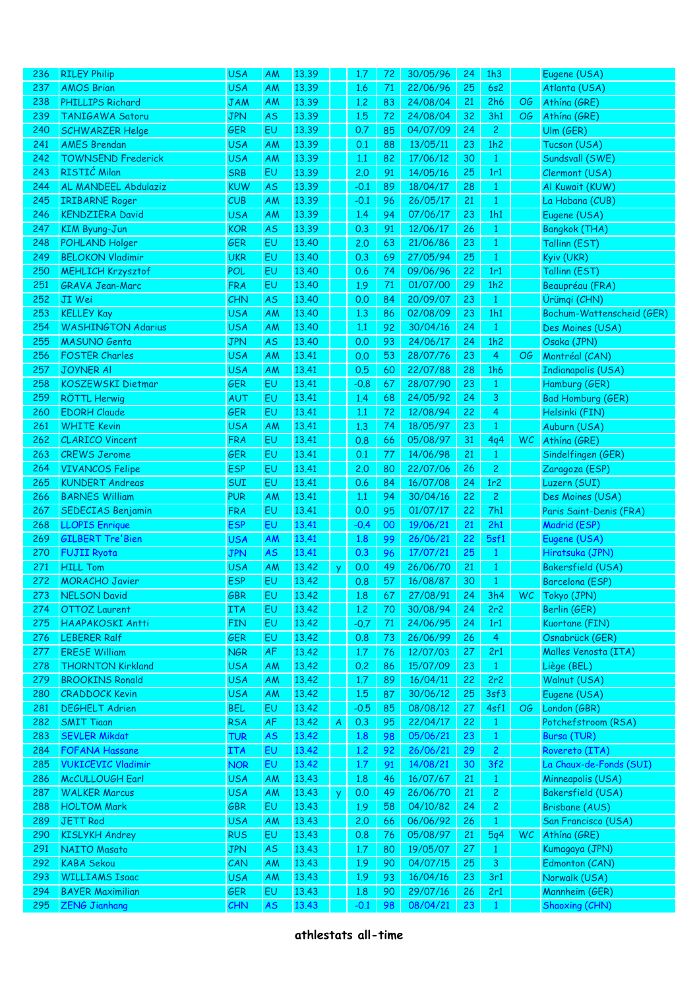| 236 | <b>RILEY Philip</b>       | <b>USA</b> | <b>AM</b> | 13.39 |          | 1.7    | 72 | 30/05/96 | 24 | 1h3            |           | Eugene (USA)                         |
|-----|---------------------------|------------|-----------|-------|----------|--------|----|----------|----|----------------|-----------|--------------------------------------|
| 237 | <b>AMOS Brian</b>         | <b>USA</b> | AM        | 13.39 |          | 1.6    | 71 | 22/06/96 | 25 | 6s2            |           | Atlanta (USA)                        |
| 238 | <b>PHILLIPS Richard</b>   | <b>JAM</b> | AM        | 13.39 |          | 1,2    | 83 | 24/08/04 | 21 | 2h6            | OG        | Athína (GRE)                         |
| 239 | TANIGAWA Satoru           | <b>JPN</b> | <b>AS</b> | 13.39 |          | 1.5    | 72 | 24/08/04 | 32 | 3h1            | OG        | Athína (GRE)                         |
| 240 | <b>SCHWARZER Helge</b>    | <b>GER</b> | EU        | 13.39 |          | 0.7    | 85 | 04/07/09 | 24 | $\overline{c}$ |           | Ulm (GER)                            |
| 241 | <b>AMES Brendan</b>       | <b>USA</b> | AM        | 13.39 |          | 0.1    | 88 | 13/05/11 | 23 | 1h2            |           | Tucson (USA)                         |
| 242 | <b>TOWNSEND Frederick</b> | <b>USA</b> | AM        | 13.39 |          | 1.1    | 82 | 17/06/12 | 30 | $\mathbf{1}$   |           | Sundsvall (SWE)                      |
| 243 | RISTIĆ Milan              | <b>SRB</b> | EU        | 13.39 |          | 2.0    | 91 | 14/05/16 | 25 | 1r1            |           | Clermont (USA)                       |
| 244 | AL MANDEEL Abdulaziz      | <b>KUW</b> | <b>AS</b> | 13.39 |          | $-0.1$ | 89 | 18/04/17 | 28 | $\mathbf{1}$   |           | Al Kuwait (KUW)                      |
| 245 | <b>IRIBARNE Roger</b>     | CUB        | AM        | 13.39 |          | $-0.1$ | 96 | 26/05/17 | 21 | $\mathbf{1}$   |           | La Habana (CUB)                      |
| 246 | <b>KENDZIERA David</b>    | <b>USA</b> | AM        | 13.39 |          | 1.4    | 94 | 07/06/17 | 23 | 1h1            |           | Eugene (USA)                         |
| 247 | <b>KIM Byung-Jun</b>      | <b>KOR</b> | <b>AS</b> | 13.39 |          | 0.3    | 91 | 12/06/17 | 26 | $\mathbf{1}$   |           | Bangkok (THA)                        |
| 248 | POHLAND Holger            | <b>GER</b> | EU        | 13,40 |          | 2,0    | 63 | 21/06/86 | 23 | $\mathbf{1}$   |           | Tallinn (EST)                        |
| 249 | <b>BELOKON Vladimir</b>   | <b>UKR</b> | EU        | 13.40 |          | 0.3    | 69 | 27/05/94 | 25 | $\mathbf{1}$   |           | Kyiv (UKR)                           |
| 250 | <b>MEHLICH Krzysztof</b>  | POL        | EU        | 13.40 |          | 0.6    | 74 | 09/06/96 | 22 | 1r1            |           | Tallinn (EST)                        |
| 251 | <b>GRAVA Jean-Marc</b>    | <b>FRA</b> | EU        | 13.40 |          | 1.9    | 71 | 01/07/00 | 29 | 1h2            |           | Beaupréau (FRA)                      |
| 252 | JI Wei                    | <b>CHN</b> | <b>AS</b> | 13.40 |          | 0.0    | 84 | 20/09/07 | 23 | $\mathbf{1}$   |           | Ürümqi (CHN)                         |
| 253 | <b>KELLEY Kay</b>         | <b>USA</b> | AM        | 13.40 |          | 1.3    | 86 | 02/08/09 | 23 | 1h1            |           | Bochum-Wattenscheid (GER)            |
| 254 | <b>WASHINGTON Adarius</b> | <b>USA</b> | AM        | 13,40 |          | 1.1    | 92 | 30/04/16 | 24 | $\mathbf{1}$   |           | Des Moines (USA)                     |
|     |                           |            |           |       |          |        |    |          |    |                |           |                                      |
| 255 | <b>MASUNO Genta</b>       | <b>JPN</b> | <b>AS</b> | 13,40 |          | 0.0    | 93 | 24/06/17 | 24 | 1h2            |           | Osaka (JPN)                          |
| 256 | <b>FOSTER Charles</b>     | <b>USA</b> | AM        | 13.41 |          | 0.0    | 53 | 28/07/76 | 23 | 4              | OG        | Montréal (CAN)                       |
| 257 | <b>JOYNER AI</b>          | <b>USA</b> | AM        | 13.41 |          | 0.5    | 60 | 22/07/88 | 28 | 1h6            |           | <b>Indianapolis (USA)</b>            |
| 258 | <b>KOSZEWSKI Dietmar</b>  | <b>GER</b> | EU        | 13.41 |          | $-0.8$ | 67 | 28/07/90 | 23 | $\mathbf{1}$   |           | Hamburg (GER)                        |
| 259 | <b>RÖTTL Herwig</b>       | AUT        | EU        | 13.41 |          | 1.4    | 68 | 24/05/92 | 24 | 3              |           | Bad Homburg (GER)                    |
| 260 | <b>EDORH Claude</b>       | <b>GER</b> | EU        | 13.41 |          | 1.1    | 72 | 12/08/94 | 22 | 4              |           | Helsinki (FIN)                       |
| 261 | <b>WHITE Kevin</b>        | <b>USA</b> | AM        | 13.41 |          | 1.3    | 74 | 18/05/97 | 23 | $\mathbf{1}$   |           | Auburn (USA)                         |
| 262 | <b>CLARICO Vincent</b>    | <b>FRA</b> | EU        | 13.41 |          | 0.8    | 66 | 05/08/97 | 31 | 4q4            | WC        | Athína (GRE)                         |
| 263 | <b>CREWS Jerome</b>       | <b>GER</b> | EU        | 13.41 |          | 0.1    | 77 | 14/06/98 | 21 | $\mathbf{1}$   |           | Sindelfingen (GER)                   |
| 264 | <b>VIVANCOS Felipe</b>    | <b>ESP</b> | EU        | 13.41 |          | 2.0    | 80 | 22/07/06 | 26 | $\overline{c}$ |           | Zaragoza (ESP)                       |
| 265 | <b>KUNDERT Andreas</b>    | SUI        | EU        | 13.41 |          | 0.6    | 84 | 16/07/08 | 24 | 1r2            |           | Luzern (SUI)                         |
| 266 | <b>BARNES William</b>     | <b>PUR</b> | AM        | 13.41 |          | 1.1    | 94 | 30/04/16 | 22 | $\overline{c}$ |           | Des Moines (USA)                     |
| 267 | SEDECIAS Benjamin         | <b>FRA</b> | EU        | 13.41 |          | 0.0    | 95 | 01/07/17 | 22 | 7h1            |           | Paris Saint-Denis (FRA)              |
| 268 | <b>LLOPIS Enrique</b>     | <b>ESP</b> | EU        | 13.41 |          | $-0.4$ | 00 | 19/06/21 | 21 | 2h1            |           | Madrid (ESP)                         |
| 269 | <b>GILBERT Tre'Bien</b>   | <b>USA</b> | AM        | 13.41 |          | 1.8    | 99 | 26/06/21 | 22 | 5sf1           |           | Eugene (USA)                         |
| 270 | <b>FUJII Ryota</b>        | <b>JPN</b> | <b>AS</b> | 13.41 |          | 0.3    | 96 | 17/07/21 | 25 | $\mathbf{1}$   |           | Hiratsuka (JPN)                      |
| 271 | <b>HILL Tom</b>           | <b>USA</b> | AM        | 13.42 | <b>y</b> | 0.0    | 49 | 26/06/70 | 21 | $\mathbf{1}$   |           | Bakersfield (USA)                    |
| 272 | <b>MORACHO Javier</b>     | <b>ESP</b> | EU        | 13.42 |          | 0.8    | 57 | 16/08/87 | 30 | 1              |           | Barcelona (ESP)                      |
| 273 | <b>NELSON David</b>       | GBR        | 6Ū        | 13,42 |          | 1.8    | 67 | 27/08/91 | 24 | 3h4            | WC.       | $\overline{\phantom{a}}$ Tokyo (JPN) |
| 274 | <b>OTTOZ</b> Laurent      | <b>ITA</b> | EU        | 13.42 |          | 1,2    | 70 | 30/08/94 | 24 | 2r2            |           | Berlin (GER)                         |
| 275 | <b>HAAPAKOSKI Antti</b>   | <b>FIN</b> | EU        | 13.42 |          | $-0.7$ | 71 | 24/06/95 | 24 | 1r1            |           | Kuortane (FIN)                       |
| 276 | <b>LEBERER Ralf</b>       | <b>GER</b> | EU        | 13.42 |          | 0.8    | 73 | 26/06/99 | 26 | 4              |           | Osnabrück (GER)                      |
| 277 | <b>ERESE William</b>      | <b>NGR</b> | AF        | 13.42 |          | 1.7    | 76 | 12/07/03 | 27 | 2r1            |           | Malles Venosta (ITA)                 |
| 278 | <b>THORNTON Kirkland</b>  | <b>USA</b> | AM        | 13.42 |          | 0.2    | 86 | 15/07/09 | 23 | $\mathbf{1}$   |           | Liège (BEL)                          |
| 279 | <b>BROOKINS Ronald</b>    | <b>USA</b> | AM        | 13.42 |          | 1.7    | 89 | 16/04/11 | 22 | 2r2            |           | Walnut (USA)                         |
| 280 | <b>CRADDOCK Kevin</b>     | <b>USA</b> | AM        | 13.42 |          | 1.5    | 87 | 30/06/12 | 25 | 3sf3           |           | Eugene (USA)                         |
| 281 | <b>DEGHELT Adrien</b>     | <b>BEL</b> | EU        | 13.42 |          | $-0.5$ | 85 | 08/08/12 | 27 | 4sf1           | OG        | London (GBR)                         |
| 282 | <b>SMIT Tiaan</b>         | <b>RSA</b> | AF        | 13.42 | A        | 0.3    | 95 | 22/04/17 | 22 | $\mathbf{1}$   |           | Potchefstroom (RSA)                  |
| 283 | <b>SEVLER Mikdat</b>      | TUR        | <b>AS</b> | 13.42 |          | 1.8    | 98 | 05/06/21 | 23 | $\mathbf{1}$   |           | Bursa (TUR)                          |
| 284 | <b>FOFANA Hassane</b>     | ITA        | EU        | 13.42 |          | 1,2    | 92 | 26/06/21 | 29 | $\overline{2}$ |           | Rovereto (ITA)                       |
| 285 | <b>VUKICEVIC Vladimir</b> | <b>NOR</b> | EU        | 13.42 |          | 1.7    | 91 | 14/08/21 | 30 | 3f2            |           | La Chaux-de-Fonds (SUI)              |
| 286 | McCULLOUGH Earl           | <b>USA</b> | AM        | 13.43 |          | 1.8    | 46 | 16/07/67 | 21 | $\mathbf{1}$   |           | Minneapolis (USA)                    |
| 287 | <b>WALKER Marcus</b>      | <b>USA</b> | AM        | 13.43 | Y.       | 0.0    | 49 | 26/06/70 | 21 | $\mathbf{2}$   |           | Bakersfield (USA)                    |
| 288 | <b>HOLTOM Mark</b>        | <b>GBR</b> | EU        | 13.43 |          | 1.9    | 58 | 04/10/82 | 24 | $\overline{c}$ |           | Brisbane (AUS)                       |
| 289 | <b>JETT Rod</b>           | <b>USA</b> | AM        | 13.43 |          | 2.0    | 66 | 06/06/92 | 26 | $\mathbf{1}$   |           | San Francisco (USA)                  |
| 290 | <b>KISLYKH Andrey</b>     | <b>RUS</b> | EU        | 13.43 |          | 0.8    | 76 | 05/08/97 | 21 | 5q4            | <b>WC</b> | Athína (GRE)                         |
| 291 | <b>NAITO Masato</b>       | <b>JPN</b> | <b>AS</b> | 13.43 |          | 1.7    | 80 | 19/05/07 | 27 | $\mathbf{1}$   |           | Kumagaya (JPN)                       |
| 292 | <b>KABA Sekou</b>         | CAN        | AM        | 13.43 |          | 1.9    | 90 | 04/07/15 | 25 | 3              |           | Edmonton (CAN)                       |
| 293 | <b>WILLIAMS Isaac</b>     |            |           | 13.43 |          |        |    | 16/04/16 | 23 | 3r1            |           |                                      |
|     |                           | <b>USA</b> | <b>AM</b> |       |          | 1.9    | 93 |          |    |                |           | Norwalk (USA)                        |
| 294 | <b>BAYER Maximilian</b>   | <b>GER</b> | EU        | 13.43 |          | 1.8    | 90 | 29/07/16 | 26 | 2r1            |           | Mannheim (GER)                       |
| 295 | <b>ZENG Jianhang</b>      | CHN        | AS        | 13.43 |          | $-0.1$ | 98 | 08/04/21 | 23 | $\mathbf{1}$   |           | Shaoxing (CHN)                       |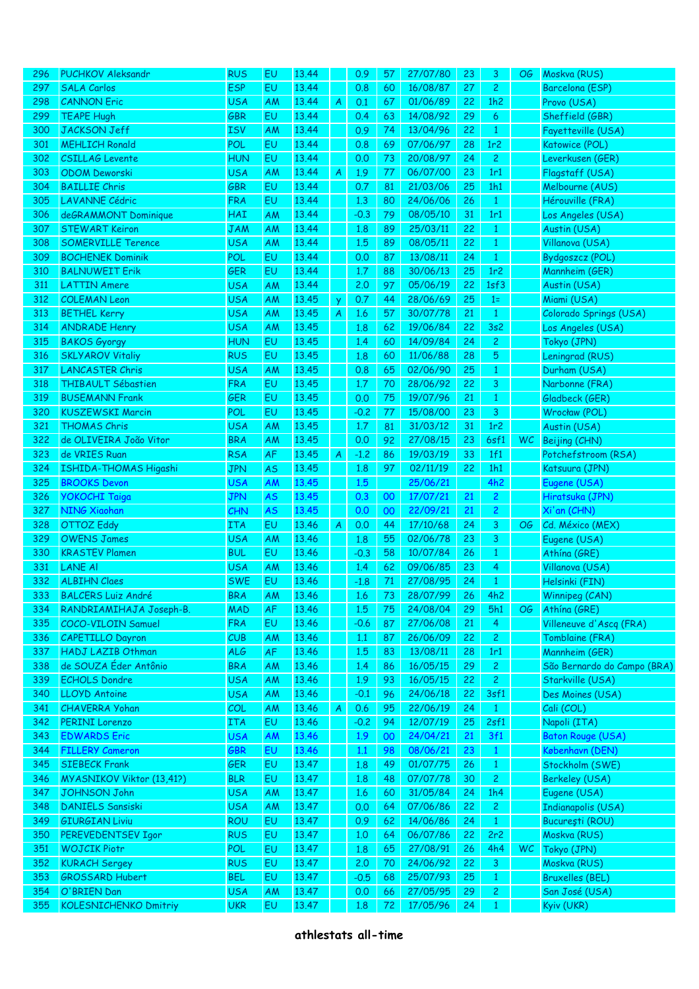| 296 | <b>PUCHKOV Aleksandr</b>     | <b>RUS</b>               | EU        | 13.44 |                  | 0.9    | 57     | 27/07/80 | 23 | 3              | OG. | Moskva (RUS)                |
|-----|------------------------------|--------------------------|-----------|-------|------------------|--------|--------|----------|----|----------------|-----|-----------------------------|
| 297 | <b>SALA Carlos</b>           | <b>ESP</b>               | EU        | 13.44 |                  | 0.8    | 60     | 16/08/87 | 27 | $\overline{c}$ |     | Barcelona (ESP)             |
| 298 | <b>CANNON Eric</b>           | <b>USA</b>               | AM        | 13.44 | A                | 0.1    | 67     | 01/06/89 | 22 | 1h2            |     | Provo (USA)                 |
| 299 | <b>TEAPE Hugh</b>            | <b>GBR</b>               | EU        | 13.44 |                  | 0.4    | 63     | 14/08/92 | 29 | 6              |     | Sheffield (GBR)             |
| 300 | <b>JACKSON Jeff</b>          | <b>ISV</b>               | AM        | 13.44 |                  | 0.9    | 74     | 13/04/96 | 22 | $\mathbf{1}$   |     | Fayetteville (USA)          |
| 301 | <b>MEHLICH Ronald</b>        | POL                      | EU        | 13.44 |                  | 0.8    | 69     | 07/06/97 | 28 | 1r2            |     | Katowice (POL)              |
| 302 | <b>CSILLAG Levente</b>       | <b>HUN</b>               | EU        | 13.44 |                  | 0.0    | 73     | 20/08/97 | 24 | $\overline{2}$ |     | Leverkusen (GER)            |
| 303 | <b>ODOM Deworski</b>         | <b>USA</b>               | AM        | 13.44 | A                | 1.9    | 77     | 06/07/00 | 23 | 1r1            |     | Flagstaff (USA)             |
| 304 | <b>BAILLIE Chris</b>         | <b>GBR</b>               | EU        | 13.44 |                  | 0.7    | 81     | 21/03/06 | 25 | 1h1            |     | Melbourne (AUS)             |
| 305 | <b>LAVANNE Cédric</b>        | <b>FRA</b>               | EU        | 13.44 |                  | 1,3    | 80     | 24/06/06 | 26 | $\mathbf{1}$   |     | Hérouville (FRA)            |
|     |                              |                          |           | 13.44 |                  |        | 79     |          |    |                |     |                             |
| 306 | deGRAMMONT Dominique         | HAI                      | AM        |       |                  | $-0.3$ |        | 08/05/10 | 31 | 1r1            |     | Los Angeles (USA)           |
| 307 | <b>STEWART Keiron</b>        | <b>JAM</b>               | AM        | 13.44 |                  | 1.8    | 89     | 25/03/11 | 22 | $\mathbf{1}$   |     | Austin (USA)                |
| 308 | <b>SOMERVILLE Terence</b>    | <b>USA</b>               | AM        | 13.44 |                  | 1.5    | 89     | 08/05/11 | 22 | $\mathbf{1}$   |     | Villanova (USA)             |
| 309 | <b>BOCHENEK Dominik</b>      | POL                      | EU        | 13.44 |                  | 0.0    | 87     | 13/08/11 | 24 | $\mathbf{1}$   |     | Bydgoszcz (POL)             |
| 310 | <b>BALNUWEIT Erik</b>        | <b>GER</b>               | EU        | 13.44 |                  | 1.7    | 88     | 30/06/13 | 25 | 1r2            |     | Mannheim (GER)              |
| 311 | <b>LATTIN Amere</b>          | <b>USA</b>               | AM        | 13.44 |                  | 2.0    | 97     | 05/06/19 | 22 | 1sf3           |     | Austin (USA)                |
| 312 | <b>COLEMAN Leon</b>          | <b>USA</b>               | AM        | 13.45 | Ÿ                | 0.7    | 44     | 28/06/69 | 25 | $1=$           |     | Miami (USA)                 |
| 313 | <b>BETHEL Kerry</b>          | <b>USA</b>               | AM        | 13.45 | $\boldsymbol{A}$ | 1.6    | 57     | 30/07/78 | 21 | $\mathbf{1}$   |     | Colorado Springs (USA)      |
| 314 | <b>ANDRADE Henry</b>         | <b>USA</b>               | AM        | 13.45 |                  | 1.8    | 62     | 19/06/84 | 22 | 3s2            |     | Los Angeles (USA)           |
| 315 | <b>BAKOS Gyorgy</b>          | <b>HUN</b>               | EU        | 13.45 |                  | 1.4    | 60     | 14/09/84 | 24 | $\overline{c}$ |     | Tokyo (JPN)                 |
| 316 | <b>SKLYAROV Vitaliy</b>      | <b>RUS</b>               | EU        | 13.45 |                  | 1.8    | 60     | 11/06/88 | 28 | 5              |     | Leningrad (RUS)             |
| 317 | <b>LANCASTER Chris</b>       | <b>USA</b>               | AM        | 13.45 |                  | 0.8    | 65     | 02/06/90 | 25 | $\mathbf{1}$   |     | Durham (USA)                |
| 318 | THIBAULT Sébastien           | <b>FRA</b>               | EU        | 13.45 |                  | 1.7    | 70     | 28/06/92 | 22 | 3              |     | Narbonne (FRA)              |
| 319 | <b>BUSEMANN Frank</b>        | <b>GER</b>               | EU        | 13.45 |                  | 0.0    | 75     | 19/07/96 | 21 | $\mathbf{1}$   |     | Gladbeck (GER)              |
| 320 | <b>KUSZEWSKI Marcin</b>      | POL                      | EU        | 13.45 |                  | $-0.2$ | 77     | 15/08/00 | 23 | 3              |     | Wrocław (POL)               |
| 321 | <b>THOMAS Chris</b>          | <b>USA</b>               | AM        | 13.45 |                  | 1.7    | 81     | 31/03/12 | 31 | 1r2            |     | Austin (USA)                |
| 322 | de OLIVEIRA João Vitor       | <b>BRA</b>               | AM        | 13.45 |                  | 0.0    | 92     | 27/08/15 | 23 | 6sf1           | WC. | Beijing (CHN)               |
| 323 | de VRIES Ruan                | <b>RSA</b>               | AF        | 13.45 | A                | $-1.2$ | 86     | 19/03/19 | 33 | 1f1            |     | Potchefstroom (RSA)         |
| 324 | ISHIDA-THOMAS Higashi        | <b>JPN</b>               | <b>AS</b> | 13.45 |                  | 1.8    | 97     | 02/11/19 | 22 | 1h1            |     | Katsuura (JPN)              |
| 325 | <b>BROOKS Devon</b>          | <b>USA</b>               | AM        | 13.45 |                  | 1.5    |        | 25/06/21 |    | 4h2            |     | Eugene (USA)                |
| 326 | <b>YOKOCHI Taiga</b>         | <b>JPN</b>               | <b>AS</b> | 13.45 |                  | 0.3    | 00     | 17/07/21 | 21 | $\mathbf{2}$   |     | Hiratsuka (JPN)             |
| 327 | <b>NING Xiaohan</b>          | CHN                      | <b>AS</b> | 13.45 |                  | 0.0    | 00     | 22/09/21 | 21 | $\mathbf{2}$   |     | Xi'an (CHN)                 |
| 328 | <b>OTTOZ Eddy</b>            | <b>ITA</b>               | EU        | 13.46 | A                | 0.0    | 44     | 17/10/68 | 24 | 3              | OG  | Cd. México (MEX)            |
| 329 | <b>OWENS James</b>           | <b>USA</b>               | AM        | 13.46 |                  | 1.8    | 55     | 02/06/78 | 23 | 3              |     | Eugene (USA)                |
| 330 | <b>KRASTEV Plamen</b>        | <b>BUL</b>               | EU        | 13.46 |                  | $-0.3$ | 58     | 10/07/84 | 26 | $\mathbf{1}$   |     | Athína (GRE)                |
| 331 | <b>LANE AI</b>               | <b>USA</b>               | AM        | 13.46 |                  | 1.4    | 62     | 09/06/85 | 23 | 4              |     | Villanova (USA)             |
| 332 | <b>ALBIHN Claes</b>          | <b>SWE</b>               | EU        | 13.46 |                  | $-1.8$ | $71\,$ | 27/08/95 | 24 | $\mathbf{1}$   |     | Helsinki (FIN)              |
| 333 | <b>BALCERS Luiz André</b>    | <b>BRA</b>               | AM        | 13.46 |                  | 1.6    | 73     | 28/07/99 | 26 | 4h2            |     | Winnipeg (CAN)              |
| 334 | RANDRIAMIHAJA Joseph-B.      |                          |           | 13.46 |                  |        | 75     | 24/08/04 |    | 5h1            |     | Athína (GRE)                |
|     | COCO-VILOIN Samuel           | <b>MAD</b><br><b>FRA</b> | AF        | 13.46 |                  | 1.5    |        |          | 29 |                | OG. | Villeneuve d'Ascq (FRA)     |
| 335 |                              |                          | EU        |       |                  | $-0.6$ | 87     | 27/06/08 | 21 | 4              |     |                             |
| 336 | <b>CAPETILLO Dayron</b>      | CUB                      | AM        | 13.46 |                  | 1.1    | 87     | 26/06/09 | 22 | $\mathbf{2}$   |     | Tomblaine (FRA)             |
| 337 | <b>HADJ LAZIB Othman</b>     | <b>ALG</b>               | AF        | 13.46 |                  | 1.5    | 83     | 13/08/11 | 28 | 1r1            |     | Mannheim (GER)              |
| 338 | de SOUZA Éder Antônio        | <b>BRA</b>               | AM        | 13.46 |                  | 1.4    | 86     | 16/05/15 | 29 | $\mathbf{2}$   |     | São Bernardo do Campo (BRA) |
| 339 | <b>ECHOLS Dondre</b>         | <b>USA</b>               | AM        | 13.46 |                  | 1.9    | 93     | 16/05/15 | 22 | $\mathbf{2}$   |     | Starkville (USA)            |
| 340 | <b>LLOYD Antoine</b>         | <b>USA</b>               | AM        | 13.46 |                  | $-0.1$ | 96     | 24/06/18 | 22 | 3sf1           |     | Des Moines (USA)            |
| 341 | <b>CHAVERRA Yohan</b>        | COL                      | AM        | 13.46 | A                | 0.6    | 95     | 22/06/19 | 24 | $\mathbf{1}$   |     | Cali (COL)                  |
| 342 | <b>PERINI Lorenzo</b>        | <b>ITA</b>               | EU        | 13.46 |                  | $-0.2$ | 94     | 12/07/19 | 25 | 2sf1           |     | Napoli (ITA)                |
| 343 | <b>EDWARDS Eric</b>          | <b>USA</b>               | AM        | 13.46 |                  | 1.9    | 00     | 24/04/21 | 21 | 3f1            |     | <b>Baton Rouge (USA)</b>    |
| 344 | <b>FILLERY Cameron</b>       | <b>GBR</b>               | EU        | 13.46 |                  | 1.1    | 98     | 08/06/21 | 23 | $\mathbf{1}$   |     | København (DEN)             |
| 345 | <b>SIEBECK Frank</b>         | <b>GER</b>               | EU        | 13.47 |                  | 1.8    | 49     | 01/07/75 | 26 | $\mathbf{1}$   |     | Stockholm (SWE)             |
| 346 | MYASNIKOV Viktor (13,41?)    | <b>BLR</b>               | EU        | 13.47 |                  | 1.8    | 48     | 07/07/78 | 30 | $\mathbf{2}$   |     | <b>Berkeley (USA)</b>       |
| 347 | JOHNSON John                 | <b>USA</b>               | AM        | 13.47 |                  | 1.6    | 60     | 31/05/84 | 24 | 1h4            |     | Eugene (USA)                |
| 348 | <b>DANIELS Sansiski</b>      | <b>USA</b>               | AM        | 13.47 |                  | 0.0    | 64     | 07/06/86 | 22 | $\mathbf{Z}$   |     | <b>Indianapolis (USA)</b>   |
| 349 | <b>GIURGIAN Liviu</b>        | ROU                      | EU        | 13.47 |                  | 0.9    | 62     | 14/06/86 | 24 | $\mathbf{1}$   |     | București (ROU)             |
| 350 | PEREVEDENTSEV Igor           | <b>RUS</b>               | EU        | 13.47 |                  | 1,0    | 64     | 06/07/86 | 22 | 2r2            |     | Moskva (RUS)                |
| 351 | <b>WOJCIK Piotr</b>          | POL                      | EU        | 13.47 |                  | 1.8    | 65     | 27/08/91 | 26 | 4h4            | WC  | Tokyo (JPN)                 |
| 352 | <b>KURACH Sergey</b>         | <b>RUS</b>               | EU        | 13.47 |                  | 2.0    | 70     | 24/06/92 | 22 | 3              |     | Moskva (RUS)                |
| 353 | <b>GROSSARD Hubert</b>       | <b>BEL</b>               | EU        | 13.47 |                  | $-0.5$ | 68     | 25/07/93 | 25 | $\mathbf{1}$   |     | <b>Bruxelles (BEL)</b>      |
| 354 | O'BRIEN Dan                  | <b>USA</b>               | AM        | 13.47 |                  | 0.0    | 66     | 27/05/95 | 29 | $\mathbf{2}$   |     | San José (USA)              |
| 355 | <b>KOLESNICHENKO Dmitriy</b> | <b>UKR</b>               | EU        | 13.47 |                  | 1.8    | 72     | 17/05/96 | 24 | $\mathbf{1}$   |     | Kyiv (UKR)                  |
|     |                              |                          |           |       |                  |        |        |          |    |                |     |                             |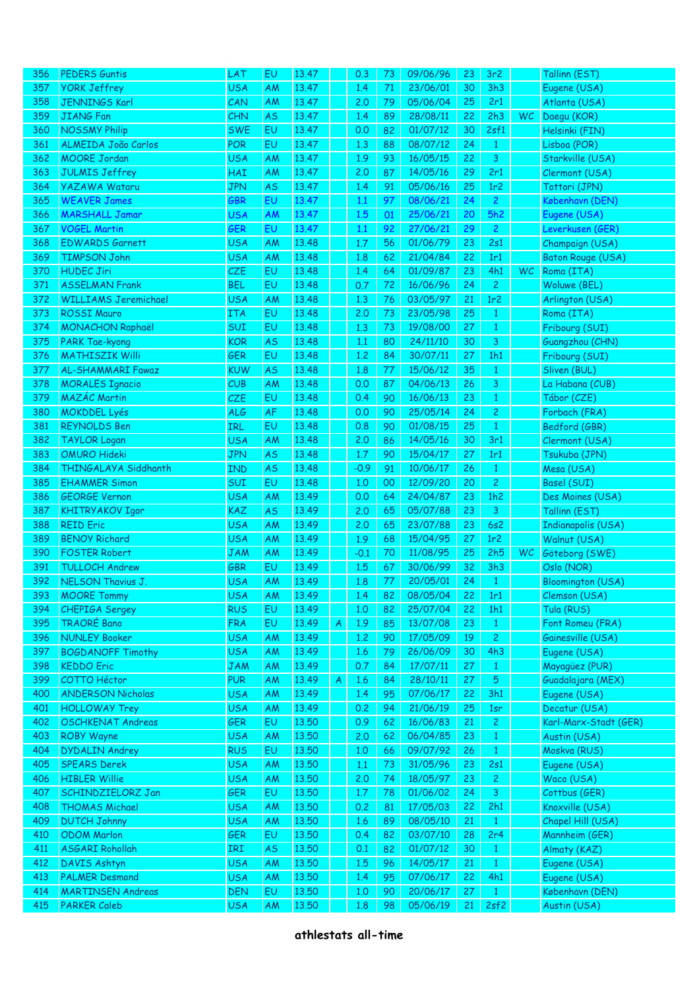| 356        | <b>PEDERS Guntis</b>                             | LAT        | EU        | 13.47          |   | 0.3    | 73       | 09/06/96             | 23 | 3r <sub>2</sub>     |     | Tallinn (EST)                          |
|------------|--------------------------------------------------|------------|-----------|----------------|---|--------|----------|----------------------|----|---------------------|-----|----------------------------------------|
| 357        | <b>YORK Jeffrey</b>                              | <b>USA</b> | AM        | 13.47          |   | 1.4    | 71       | 23/06/01             | 30 | 3h3                 |     | Eugene (USA)                           |
| 358        | <b>JENNINGS Karl</b>                             | CAN        | AM        | 13.47          |   | 2,0    | 79       | 05/06/04             | 25 | 2r1                 |     | Atlanta (USA)                          |
| 359        | <b>JIANG Fan</b>                                 | <b>CHN</b> | <b>AS</b> | 13.47          |   | 1.4    | 89       | 28/08/11             | 22 | 2h3                 | WC. | Daegu (KOR)                            |
| 360        | <b>NOSSMY Philip</b>                             | <b>SWE</b> | EU        | 13.47          |   | 0.0    | 82       | 01/07/12             | 30 | 2sf1                |     | Helsinki (FIN)                         |
| 361        | ALMEIDA João Carlos                              | <b>POR</b> | EU        | 13.47          |   | 1,3    | 88       | 08/07/12             | 24 | $\mathbf{1}$        |     | Lisboa (POR)                           |
| 362        | <b>MOORE Jordan</b>                              | <b>USA</b> | <b>AM</b> | 13.47          |   | 1.9    | 93       | 16/05/15             | 22 | 3                   |     | Starkville (USA)                       |
| 363        | <b>JULMIS Jeffrey</b>                            | HAI        | AM        | 13.47          |   | 2,0    | 87       | 14/05/16             | 29 | 2r1                 |     | Clermont (USA)                         |
| 364        | <b>YAZAWA Wataru</b>                             | <b>JPN</b> | AS        | 13.47          |   | 1.4    | 91       | 05/06/16             | 25 | 1r <sub>2</sub>     |     | Tottori (JPN)                          |
| 365        | <b>WEAVER James</b>                              | GBR        | EU        | 13.47          |   | 1.1    | 97       | 08/06/21             | 24 | $\overline{c}$      |     | København (DEN)                        |
| 366        | <b>MARSHALL Jamar</b>                            | <b>USA</b> | AM        | 13.47          |   | 1.5    | 01       | 25/06/21             | 20 | 5h2                 |     | Eugene (USA)                           |
| 367        | <b>VOGEL Martin</b>                              | <b>GER</b> | EU        | 13.47          |   | 1.1    | 92       | 27/06/21             | 29 | $\overline{c}$      |     | Leverkusen (GER)                       |
| 368        | <b>EDWARDS Garnett</b>                           | <b>USA</b> | AM        | 13.48          |   | 1.7    | 56       | 01/06/79             | 23 | 2s1                 |     | Champaign (USA)                        |
| 369        | <b>TIMPSON John</b>                              | <b>USA</b> | AM        | 13.48          |   | 1.8    | 62       | 21/04/84             | 22 | 1r1                 |     | Baton Rouge (USA)                      |
| 370        | <b>HUDEC Jiri</b>                                | CZE        | EU        | 13.48          |   | 1.4    | 64       | 01/09/87             | 23 | 4h1                 | WC  | Roma (ITA)                             |
| 371        | <b>ASSELMAN Frank</b>                            | <b>BEL</b> | EU        | 13.48          |   | 0.7    | 72       | 16/06/96             | 24 | $\overline{c}$      |     | Woluwe (BEL)                           |
| 372        | <b>WILLIAMS Jeremichael</b>                      | <b>USA</b> | AM        | 13.48          |   | 1,3    | 76       | 03/05/97             | 21 | 1r2                 |     | Arlington (USA)                        |
| 373        | <b>ROSSI Mauro</b>                               | <b>ITA</b> | EU        | 13.48          |   | 2,0    | 73       | 23/05/98             | 25 | $\mathbf{1}$        |     | Roma (ITA)                             |
| 374        | <b>MONACHON Raphaël</b>                          | SUI        | EU        | 13.48          |   | 1.3    | 73       | 19/08/00             | 27 | $\mathbf{1}$        |     | Fribourg (SUI)                         |
| 375        | <b>PARK Tae-kyong</b>                            | <b>KOR</b> | <b>AS</b> | 13.48          |   | 1.1    | 80       | 24/11/10             | 30 | 3                   |     | Guangzhou (CHN)                        |
| 376        | <b>MATHISZIK Willi</b>                           | <b>GER</b> | EU        | 13.48          |   | 1,2    | 84       | 30/07/11             | 27 | 1h1                 |     | Fribourg (SUI)                         |
| 377        | <b>AL-SHAMMARI Fawaz</b>                         | <b>KUW</b> | <b>AS</b> | 13.48          |   | 1.8    | 77       | 15/06/12             | 35 | $\mathbf{1}$        |     | Sliven (BUL)                           |
| 378        | <b>MORALES Ignacio</b>                           | CUB        | AM        | 13.48          |   | 0.0    | 87       | 04/06/13             | 26 | 3                   |     | La Habana (CUB)                        |
| 379        | <b>MAZÁC Martin</b>                              | CZE        | EU        | 13.48          |   | 0.4    | 90       | 16/06/13             | 23 | $\mathbf{1}$        |     | Tábor (CZE)                            |
| 380        | <b>MOKDDEL Lyés</b>                              | <b>ALG</b> | AF        | 13.48          |   | 0.0    | 90       | 25/05/14             | 24 | $\overline{c}$      |     | Forbach (FRA)                          |
| 381        | <b>REYNOLDS Ben</b>                              | IRL        | EU        | 13.48          |   | 0.8    | 90       | 01/08/15             | 25 | $\mathbf{1}$        |     | Bedford (GBR)                          |
| 382        | <b>TAYLOR Logan</b>                              | <b>USA</b> | AM        | 13.48          |   | 2.0    | 86       | 14/05/16             | 30 | 3r1                 |     | Clermont (USA)                         |
| 383        | <b>OMURO Hideki</b>                              | <b>JPN</b> | <b>AS</b> | 13.48          |   | 1.7    | 90       | 15/04/17             | 27 | 1r1                 |     | Tsukuba (JPN)                          |
| 384        | THINGALAYA Siddhanth                             | <b>IND</b> | <b>AS</b> | 13.48          |   | $-0.9$ | 91       | 10/06/17             | 26 | $\mathbf{1}$        |     | Mesa (USA)                             |
| 385        | <b>EHAMMER Simon</b>                             | SUI        | EU        | 13.48          |   | 1,0    | 00       | 12/09/20             | 20 | $\overline{c}$      |     | Basel (SUI)                            |
| 386        | <b>GEORGE Vernon</b>                             | <b>USA</b> | AM        | 13.49          |   | 0.0    | 64       | 24/04/87             | 23 | 1h2                 |     | Des Moines (USA)                       |
| 387        | <b>KHITRYAKOV Igor</b>                           | <b>KAZ</b> | <b>AS</b> | 13.49          |   | 2,0    | 65       | 05/07/88             | 23 | $\overline{3}$      |     | Tallinn (EST)                          |
| 388        | <b>REID Eric</b>                                 | <b>USA</b> | AM        | 13.49          |   | 2,0    | 65       | 23/07/88             | 23 | 6s2                 |     | <b>Indianapolis (USA)</b>              |
|            | <b>BENOY Richard</b>                             |            |           | 13.49          |   |        |          | 15/04/95             |    |                     |     |                                        |
| 389        |                                                  | <b>USA</b> | AM        | 13.49          |   | 1.9    | 68       |                      | 27 | 1r2                 |     | Walnut (USA)<br>Göteborg (SWE)         |
| 390        | <b>FOSTER Robert</b><br><b>TULLOCH Andrew</b>    | <b>JAM</b> | AM<br>EU  |                |   | $-0.1$ | 70<br>67 | 11/08/95             | 25 | 2h5                 | WC  |                                        |
| 391        |                                                  | <b>GBR</b> |           | 13.49          |   | 1.5    | 77       | 30/06/99             | 32 | 3h3<br>$\mathbf{1}$ |     | Oslo (NOR)                             |
| 392        | NELSON Thavius J.                                | <b>USA</b> | AM        | 13.49          |   | 1.8    |          | 20/05/01             | 24 |                     |     | <b>Bloomington (USA)</b>               |
| 393        | <b>MOORE Tommy</b>                               | <b>USA</b> | AM        | 13.49          |   | 1.4    | 82       | 08/05/04             | 22 | 1r1                 |     | Clemson (USA)<br>Tula (RUS)            |
| 394        | <b>CHEPIGA Sergey</b><br><b>TRAORÉ Bano</b>      | <b>RUS</b> | EU        | 13.49<br>13.49 |   | 1,0    | 82       | 25/07/04             | 22 | 1h1                 |     |                                        |
| 395        | <b>NUNLEY Booker</b>                             | <b>FRA</b> | EU        | 13.49          | A | 1.9    | 85       | 13/07/08             | 23 | $\mathbf{1}$        |     | Font Romeu (FRA)                       |
| 396        |                                                  | <b>USA</b> | AM        | 13.49          |   | 1,2    | 90       | 17/05/09<br>26/06/09 | 19 | $\mathbf{2}$        |     | Gainesville (USA)<br>Eugene (USA)      |
| 397        | <b>BOGDANOFF Timothy</b>                         | <b>USA</b> | AM        | 13.49          |   | 1.6    | 79       |                      | 30 | 4h3                 |     | Mayagüez (PUR)                         |
| 398        | <b>KEDDO Eric</b><br><b>COTTO Héctor</b>         | <b>JAM</b> | AM        | 13.49          |   | 0.7    | 84       | 17/07/11             | 27 | $\mathbf{1}$        |     | Guadalajara (MEX)                      |
| 399        | <b>ANDERSON Nicholas</b>                         | <b>PUR</b> | AM        | 13.49          | A | 1.6    | 84       | 28/10/11             | 27 | 5                   |     |                                        |
| 400        |                                                  | <b>USA</b> | AM        | 13.49          |   | 1.4    | 95       | 07/06/17<br>21/06/19 | 22 | 3h1                 |     | Eugene (USA)                           |
| 401        | <b>HOLLOWAY Trey</b><br><b>OSCHKENAT Andreas</b> | <b>USA</b> | AM        |                |   | 0.2    | 94       | 16/06/83             | 25 | 1sr                 |     | Decatur (USA)<br>Karl-Marx-Stadt (GER) |
| 402        |                                                  | <b>GER</b> | EU        | 13.50          |   | 0.9    | 62       | 06/04/85             | 21 | $\mathbf{2}$        |     |                                        |
| 403        | <b>ROBY Wayne</b>                                | <b>USA</b> | AM        | 13.50<br>13.50 |   | 2.0    | 62       |                      | 23 | $\mathbf{1}$        |     | Austin (USA)                           |
| 404<br>405 | <b>DYDALIN Andrey</b>                            | <b>RUS</b> | EU        |                |   | 1,0    | 66       | 09/07/92             | 26 | $\mathbf{1}$        |     | Moskva (RUS)                           |
|            | <b>SPEARS Derek</b>                              | <b>USA</b> | AM        | 13.50          |   | 1.1    | 73       | 31/05/96             | 23 | 2s1                 |     | Eugene (USA)                           |
| 406        | <b>HIBLER Willie</b>                             | <b>USA</b> | AM        | 13.50          |   | 2.0    | 74       | 18/05/97             | 23 | $\mathbf{2}$        |     | Waco (USA)                             |
| 407        | SCHINDZIELORZ Jan                                | <b>GER</b> | EU        | 13.50          |   | 1.7    | 78       | 01/06/02             | 24 | $\mathbf{3}$        |     | Cottbus (GER)                          |
| 408        | <b>THOMAS Michael</b>                            | <b>USA</b> | AM        | 13.50          |   | 0.2    | 81       | 17/05/03             | 22 | 2h1                 |     | Knoxville (USA)                        |
| 409        | <b>DUTCH Johnny</b>                              | <b>USA</b> | AM        | 13.50          |   | 1.6    | 89       | 08/05/10             | 21 | $\mathbf{1}$        |     | Chapel Hill (USA)                      |
| 410        | <b>ODOM Marlon</b>                               | <b>GER</b> | EU        | 13.50          |   | 0.4    | 82       | 03/07/10             | 28 | 2r <sub>4</sub>     |     | Mannheim (GER)                         |
| 411        | <b>ASGARI Rohollah</b>                           | IRI        | <b>AS</b> | 13.50          |   | 0.1    | 82       | 01/07/12             | 30 | $\mathbf{1}$        |     | Almaty (KAZ)                           |
| 412        | <b>DAVIS Ashtyn</b>                              | <b>USA</b> | AM        | 13.50          |   | 1.5    | 96       | 14/05/17             | 21 | $\mathbf{1}$        |     | Eugene (USA)                           |
| 413        | <b>PALMER Desmond</b>                            | <b>USA</b> | AM        | 13.50          |   | 1.4    | 95       | 07/06/17             | 22 | 4h1                 |     | Eugene (USA)                           |
| 414        | <b>MARTINSEN Andreas</b>                         | <b>DEN</b> | EU        | 13.50          |   | 1,0    | 90       | 20/06/17             | 27 | $\mathbf{1}$        |     | København (DEN)                        |
| 415        | <b>PARKER Caleb</b>                              | <b>USA</b> | AM        | 13.50          |   | 1.8    | 98       | 05/06/19             | 21 | 2sf2                |     | Austin (USA)                           |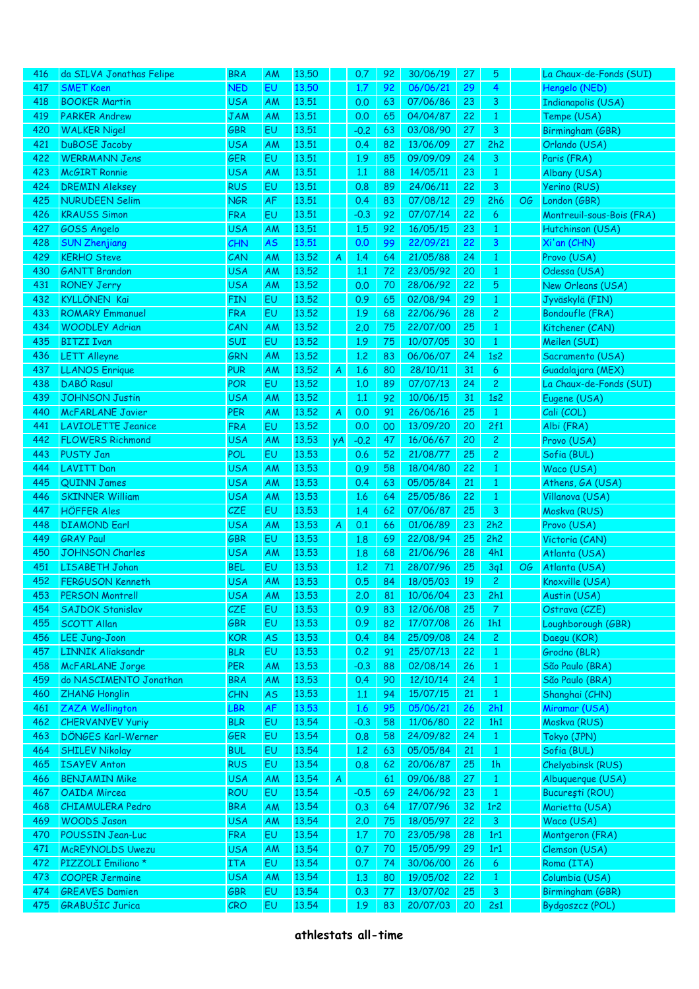| 416 | da SILVA Jonathas Felipe      | <b>BRA</b> | AM        | 13.50 |    | 0.7    | 92 | 30/06/19 | 27 | 5              |    | La Chaux-de-Fonds (SUI)    |
|-----|-------------------------------|------------|-----------|-------|----|--------|----|----------|----|----------------|----|----------------------------|
| 417 | <b>SMET Koen</b>              | <b>NED</b> | EU        | 13.50 |    | 1.7    | 92 | 06/06/21 | 29 | 4              |    | Hengelo (NED)              |
| 418 | <b>BOOKER Martin</b>          | <b>USA</b> | <b>AM</b> | 13.51 |    | 0.0    | 63 | 07/06/86 | 23 | 3              |    | <b>Indianapolis (USA)</b>  |
| 419 | <b>PARKER Andrew</b>          | <b>JAM</b> | AM        | 13.51 |    | 0.0    | 65 | 04/04/87 | 22 | $\mathbf{1}$   |    | Tempe (USA)                |
| 420 | <b>WALKER Nigel</b>           | <b>GBR</b> | EU        | 13.51 |    | $-0.2$ | 63 | 03/08/90 | 27 | 3              |    | Birmingham (GBR)           |
| 421 | <b>DuBOSE Jacoby</b>          | <b>USA</b> | AM        | 13.51 |    | 0.4    | 82 | 13/06/09 | 27 | 2h2            |    | Orlando (USA)              |
| 422 | <b>WERRMANN Jens</b>          | <b>GER</b> | EU        | 13.51 |    | 1.9    | 85 | 09/09/09 | 24 | 3              |    | Paris (FRA)                |
| 423 | <b>McGIRT Ronnie</b>          | <b>USA</b> | AM        | 13.51 |    | 1.1    | 88 | 14/05/11 | 23 | $\mathbf{1}$   |    | Albany (USA)               |
| 424 | <b>DREMIN Aleksey</b>         | <b>RUS</b> | EU        | 13.51 |    | 0.8    | 89 | 24/06/11 | 22 | 3              |    | Yerino (RUS)               |
| 425 | <b>NURUDEEN Selim</b>         | <b>NGR</b> | AF        | 13.51 |    | 0.4    | 83 | 07/08/12 | 29 | 2h6            | OG | London (GBR)               |
| 426 | <b>KRAUSS Simon</b>           | <b>FRA</b> | EU        | 13.51 |    | $-0.3$ | 92 | 07/07/14 | 22 | 6              |    | Montreuil-sous-Bois (FRA)  |
| 427 | GOSS Angelo                   | <b>USA</b> | AM        | 13.51 |    | 1.5    | 92 | 16/05/15 | 23 | $\mathbf{1}$   |    | Hutchinson (USA)           |
| 428 | <b>SUN Zhenjiang</b>          | CHN        | AS        | 13.51 |    | 0.0    | 99 | 22/09/21 | 22 | 3              |    | Xi'an (CHN)                |
| 429 | <b>KERHO Steve</b>            | CAN        | AM        | 13.52 | A  | 1.4    | 64 | 21/05/88 | 24 | $\mathbf{1}$   |    | Provo (USA)                |
| 430 | <b>GANTT Brandon</b>          | <b>USA</b> | AM        | 13.52 |    | 1.1    | 72 | 23/05/92 | 20 | $\mathbf{1}$   |    | Odessa (USA)               |
| 431 | <b>RONEY Jerry</b>            | <b>USA</b> | AM        | 13.52 |    | 0.0    | 70 | 28/06/92 | 22 | 5              |    | New Orleans (USA)          |
| 432 | <b>KYLLÖNEN Kai</b>           | <b>FIN</b> | EU        | 13.52 |    | 0.9    | 65 | 02/08/94 | 29 | $\mathbf{1}$   |    | Jyväskylä (FIN)            |
| 433 | <b>ROMARY Emmanuel</b>        | <b>FRA</b> | EU        | 13.52 |    | 1.9    | 68 | 22/06/96 | 28 | $\mathbf{2}$   |    | <b>Bondoufle (FRA)</b>     |
| 434 | <b>WOODLEY Adrian</b>         | CAN        | AM        | 13.52 |    | 2.0    | 75 | 22/07/00 | 25 | $\mathbf{1}$   |    | Kitchener (CAN)            |
| 435 | <b>BITZI Ivan</b>             | <b>SUI</b> | EU        | 13.52 |    | 1.9    | 75 | 10/07/05 | 30 | $\mathbf{1}$   |    | Meilen (SUI)               |
| 436 | <b>LETT Alleyne</b>           | GRN        | AM        | 13.52 |    | 1,2    | 83 | 06/06/07 | 24 | 1s2            |    | Sacramento (USA)           |
| 437 | <b>LLANOS Enrique</b>         | <b>PUR</b> | AM        | 13.52 | A  | 1.6    | 80 | 28/10/11 | 31 | 6              |    | Guadalajara (MEX)          |
| 438 | DABÓ Rasul                    | <b>POR</b> | EU        | 13.52 |    | 1,0    | 89 | 07/07/13 | 24 | $\mathbf{2}$   |    | La Chaux-de-Fonds (SUI)    |
| 439 | <b>JOHNSON Justin</b>         | <b>USA</b> | AM        | 13.52 |    | 1.1    | 92 | 10/06/15 | 31 | 1s2            |    | Eugene (USA)               |
| 440 | <b>McFARLANE Javier</b>       | <b>PER</b> | AM        | 13.52 | A  | 0.0    | 91 | 26/06/16 | 25 | $\mathbf{1}$   |    | Cali (COL)                 |
| 441 | <b>LAVIOLETTE Jeanice</b>     | <b>FRA</b> | EU        | 13.52 |    | 0.0    | 00 | 13/09/20 | 20 | 2f1            |    | Albi (FRA)                 |
| 442 | <b>FLOWERS Richmond</b>       | <b>USA</b> | AM        | 13.53 |    | $-0.2$ | 47 | 16/06/67 | 20 | $\mathbf{2}$   |    |                            |
| 443 | <b>PUSTY Jan</b>              | POL        | EU        | 13.53 | yA | 0.6    | 52 | 21/08/77 | 25 | $\mathbf{2}$   |    | Provo (USA)<br>Sofia (BUL) |
|     |                               |            |           |       |    |        |    |          |    |                |    |                            |
| 444 | <b>LAVITT Dan</b>             | <b>USA</b> | AM        | 13.53 |    | 0.9    | 58 | 18/04/80 | 22 | $\mathbf{1}$   |    | Waco (USA)                 |
| 445 | <b>QUINN James</b>            | <b>USA</b> | AM        | 13.53 |    | 0.4    | 63 | 05/05/84 | 21 | $\mathbf{1}$   |    | Athens, GA (USA)           |
| 446 | <b>SKINNER William</b>        | <b>USA</b> | AM        | 13.53 |    | 1.6    | 64 | 25/05/86 | 22 | $\mathbf{1}$   |    | Villanova (USA)            |
| 447 | <b>HÖFFER Ales</b>            | <b>CZE</b> | EU        | 13.53 |    | 1.4    | 62 | 07/06/87 | 25 | 3              |    | Moskva (RUS)               |
| 448 | <b>DIAMOND Earl</b>           | <b>USA</b> | AM        | 13.53 | A  | 0.1    | 66 | 01/06/89 | 23 | 2h2            |    | Provo (USA)                |
| 449 | <b>GRAY Paul</b>              | <b>GBR</b> | EU        | 13.53 |    | 1.8    | 69 | 22/08/94 | 25 | 2h2            |    | Victoria (CAN)             |
| 450 | JOHNSON Charles               | <b>USA</b> | <b>AM</b> | 13.53 |    | 1.8    | 68 | 21/06/96 | 28 | 4h1            |    | Atlanta (USA)              |
| 451 | LISABETH Johan                | <b>BEL</b> | EU        | 13.53 |    | 1,2    | 71 | 28/07/96 | 25 | 3q1            | OG | Atlanta (USA)              |
| 452 | FERGUSON Kenneth              | <b>USA</b> | AM        | 13.53 |    | 0.5    | 84 | 18/05/03 | 19 | $\mathbf{2}$   |    | Knoxville (USA)            |
| 453 | <b>PERSON Montrell</b>        | USA        | ΑM        | 13.53 |    | 2,0    | 81 | 10/06/04 | 23 | 2h1            |    | Austin (USA)               |
| 454 | <b>SAJDOK Stanislav</b>       | <b>CZE</b> | EU        | 13.53 |    | 0.9    | 83 | 12/06/08 | 25 | 7              |    | Ostrava (CZE)              |
| 455 | <b>SCOTT Allan</b>            | <b>GBR</b> | EU        | 13.53 |    | 0.9    | 82 | 17/07/08 | 26 | 1h1            |    | Loughborough (GBR)         |
| 456 | <b>LEE Jung-Joon</b>          | <b>KOR</b> | <b>AS</b> | 13.53 |    | 0.4    | 84 | 25/09/08 | 24 | $\overline{c}$ |    | Daegu (KOR)                |
| 457 | <b>LINNIK Aliaksandr</b>      | <b>BLR</b> | EU        | 13.53 |    | 0.2    | 91 | 25/07/13 | 22 | $\mathbf{1}$   |    | Grodno (BLR)               |
| 458 | <b>McFARLANE Jorge</b>        | <b>PER</b> | AM        | 13.53 |    | $-0.3$ | 88 | 02/08/14 | 26 | $\mathbf{1}$   |    | São Paulo (BRA)            |
| 459 | do NASCIMENTO Jonathan        | <b>BRA</b> | <b>AM</b> | 13.53 |    | 0.4    | 90 | 12/10/14 | 24 | $\mathbf{1}$   |    | São Paulo (BRA)            |
| 460 | <b>ZHANG Honglin</b>          | <b>CHN</b> | <b>AS</b> | 13.53 |    | 1.1    | 94 | 15/07/15 | 21 | $\mathbf{1}$   |    | Shanghai (CHN)             |
| 461 | <b>ZAZA Wellington</b>        | LBR        | AF        | 13.53 |    | 1.6    | 95 | 05/06/21 | 26 | 2h1            |    | Miramar (USA)              |
| 462 | <b>CHERVANYEV Yuriy</b>       | <b>BLR</b> | EU        | 13.54 |    | $-0.3$ | 58 | 11/06/80 | 22 | 1h1            |    | Moskva (RUS)               |
| 463 | DÖNGES Karl-Werner            | <b>GER</b> | EU        | 13.54 |    | 0.8    | 58 | 24/09/82 | 24 | $\mathbf{1}$   |    | Tokyo (JPN)                |
| 464 | <b>SHILEV Nikolay</b>         | <b>BUL</b> | EU        | 13.54 |    | 1.2    | 63 | 05/05/84 | 21 | $\mathbf{1}$   |    | Sofia (BUL)                |
| 465 | <b>ISAYEV Anton</b>           | <b>RUS</b> | EU        | 13.54 |    | 0.8    | 62 | 20/06/87 | 25 | 1 <sub>h</sub> |    | Chelyabinsk (RUS)          |
| 466 | <b>BENJAMIN Mike</b>          | <b>USA</b> | AM        | 13.54 | A  |        | 61 | 09/06/88 | 27 | $\mathbf{1}$   |    | Albuquerque (USA)          |
| 467 | <b>OAIDA</b> Mircea           | <b>ROU</b> | EU        | 13.54 |    | $-0.5$ | 69 | 24/06/92 | 23 | $\mathbf{1}$   |    | București (ROU)            |
| 468 | <b>CHIAMULERA Pedro</b>       | <b>BRA</b> | AM        | 13.54 |    | 0.3    | 64 | 17/07/96 | 32 | 1r2            |    | Marietta (USA)             |
| 469 | <b>WOODS Jason</b>            | <b>USA</b> | AM        | 13.54 |    | 2.0    | 75 | 18/05/97 | 22 | 3              |    | Waco (USA)                 |
| 470 | POUSSIN Jean-Luc              | <b>FRA</b> | EU        | 13.54 |    | 1.7    | 70 | 23/05/98 | 28 | 1r1            |    | Montgeron (FRA)            |
| 471 | <b>McREYNOLDS Uwezu</b>       | <b>USA</b> | AM        | 13.54 |    | 0.7    | 70 | 15/05/99 | 29 | 1r1            |    | Clemson (USA)              |
| 472 | PIZZOLI Emiliano <sup>*</sup> | <b>ITA</b> | EU        | 13.54 |    | 0.7    | 74 | 30/06/00 | 26 | 6              |    | Roma (ITA)                 |
| 473 | <b>COOPER Jermaine</b>        | <b>USA</b> | AM        | 13.54 |    | 1,3    | 80 | 19/05/02 | 22 | $\mathbf{1}$   |    | Columbia (USA)             |
| 474 | <b>GREAVES Damien</b>         | <b>GBR</b> | EU        | 13.54 |    | 0.3    | 77 | 13/07/02 | 25 | 3              |    | Birmingham (GBR)           |
| 475 | GRABUŠIC Jurica               | CRO        | EU        | 13.54 |    | 1.9    | 83 | 20/07/03 | 20 | 2s1            |    | Bydgoszcz (POL)            |